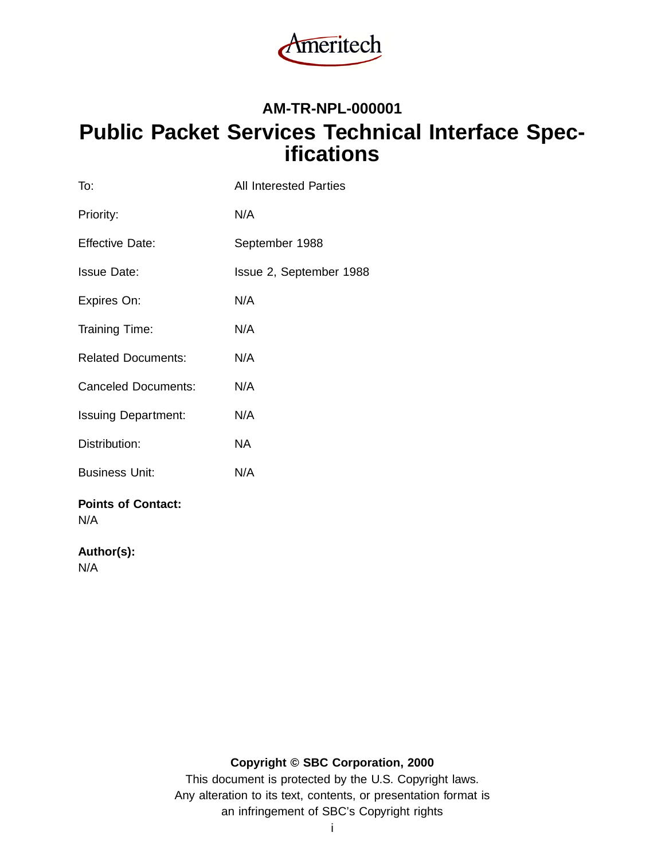

# **AM-TR-NPL-000001 Public Packet Services Technical Interface Specifications**

| To:                              | <b>All Interested Parties</b> |
|----------------------------------|-------------------------------|
| Priority:                        | N/A                           |
| <b>Effective Date:</b>           | September 1988                |
| <b>Issue Date:</b>               | Issue 2, September 1988       |
| Expires On:                      | N/A                           |
| Training Time:                   | N/A                           |
| <b>Related Documents:</b>        | N/A                           |
| <b>Canceled Documents:</b>       | N/A                           |
| <b>Issuing Department:</b>       | N/A                           |
| Distribution:                    | <b>NA</b>                     |
| <b>Business Unit:</b>            | N/A                           |
| <b>Points of Contact:</b><br>N/A |                               |

**Author(s):**

N/A

# **Copyright © SBC Corporation, 2000**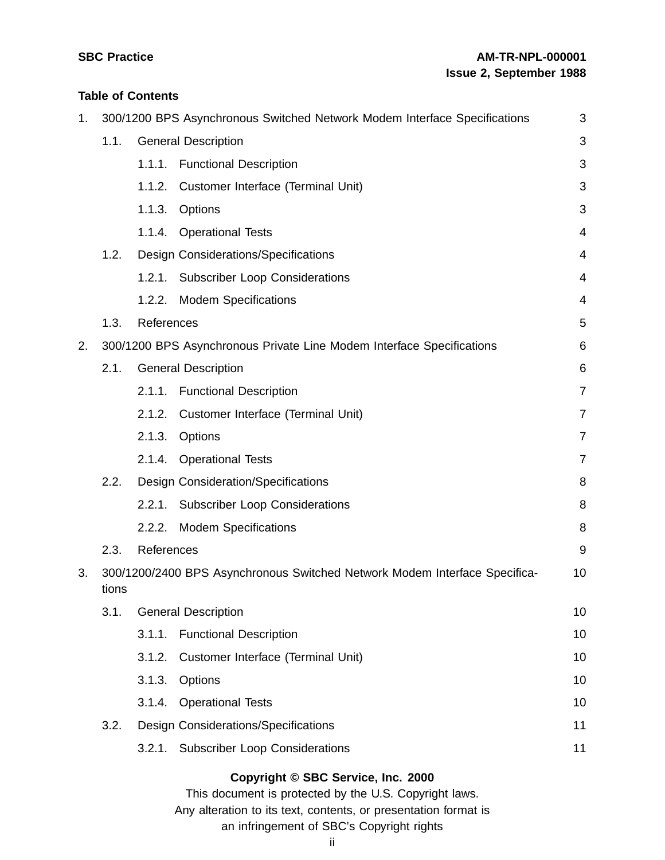### **Table of Contents**

| 1. |       |            | 300/1200 BPS Asynchronous Switched Network Modem Interface Specifications  | 3               |
|----|-------|------------|----------------------------------------------------------------------------|-----------------|
|    | 1.1.  |            | <b>General Description</b>                                                 | 3               |
|    |       |            | 1.1.1. Functional Description                                              | 3               |
|    |       | 1.1.2.     | Customer Interface (Terminal Unit)                                         | 3               |
|    |       |            | 1.1.3. Options                                                             | 3               |
|    |       |            | 1.1.4. Operational Tests                                                   | 4               |
|    | 1.2.  |            | <b>Design Considerations/Specifications</b>                                | 4               |
|    |       |            | 1.2.1. Subscriber Loop Considerations                                      | $\overline{4}$  |
|    |       |            | 1.2.2. Modem Specifications                                                | 4               |
|    | 1.3.  | References |                                                                            | 5               |
| 2. |       |            | 300/1200 BPS Asynchronous Private Line Modem Interface Specifications      | 6               |
|    | 2.1.  |            | <b>General Description</b>                                                 | $6\phantom{1}6$ |
|    |       |            | 2.1.1. Functional Description                                              | $\overline{7}$  |
|    |       | 2.1.2.     | Customer Interface (Terminal Unit)                                         | $\overline{7}$  |
|    |       | 2.1.3.     | Options                                                                    | $\overline{7}$  |
|    |       |            | 2.1.4. Operational Tests                                                   | $\overline{7}$  |
|    | 2.2.  |            | <b>Design Consideration/Specifications</b>                                 | 8               |
|    |       |            | 2.2.1. Subscriber Loop Considerations                                      | 8               |
|    |       | 2.2.2.     | <b>Modem Specifications</b>                                                | 8               |
|    | 2.3.  | References |                                                                            | $9\,$           |
| 3. | tions |            | 300/1200/2400 BPS Asynchronous Switched Network Modem Interface Specifica- | 10              |
|    | 3.1.  |            | <b>General Description</b>                                                 | 10              |
|    |       | 3.1.1.     | <b>Functional Description</b>                                              | 10              |
|    |       | 3.1.2.     | Customer Interface (Terminal Unit)                                         | 10              |
|    |       | 3.1.3.     | Options                                                                    | 10              |
|    |       | 3.1.4.     | <b>Operational Tests</b>                                                   | 10              |
|    | 3.2.  |            | <b>Design Considerations/Specifications</b>                                | 11              |
|    |       |            | 3.2.1. Subscriber Loop Considerations                                      | 11              |
|    |       |            |                                                                            |                 |

# **Copyright © SBC Service, Inc. 2000**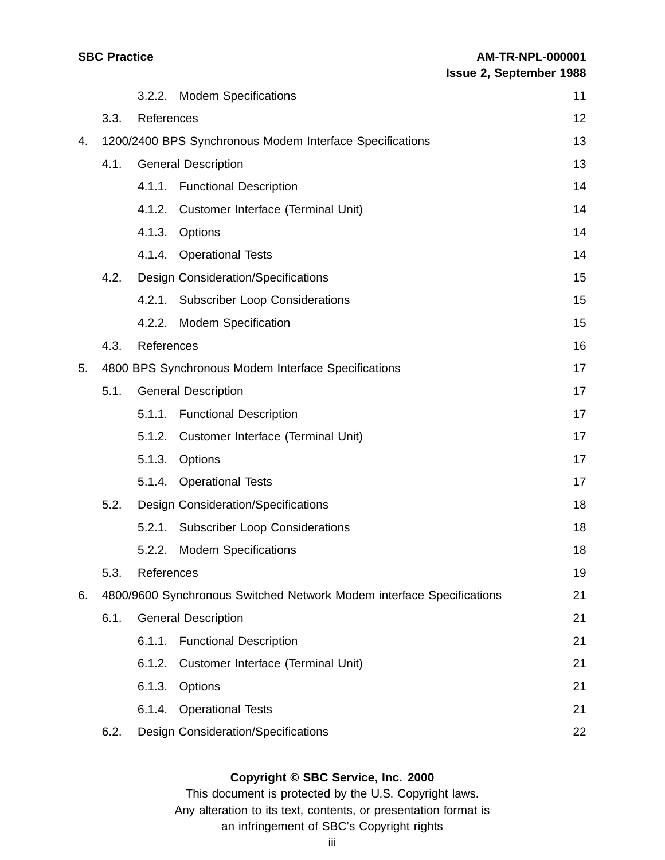|    |      |            | 3.2.2. Modem Specifications                                           | 11 |
|----|------|------------|-----------------------------------------------------------------------|----|
|    | 3.3. | References |                                                                       | 12 |
| 4. |      |            | 1200/2400 BPS Synchronous Modem Interface Specifications              | 13 |
|    | 4.1. |            | <b>General Description</b>                                            | 13 |
|    |      | 4.1.1.     | <b>Functional Description</b>                                         | 14 |
|    |      | 4.1.2.     | Customer Interface (Terminal Unit)                                    | 14 |
|    |      | 4.1.3.     | Options                                                               | 14 |
|    |      |            | 4.1.4. Operational Tests                                              | 14 |
|    | 4.2. |            | <b>Design Consideration/Specifications</b>                            | 15 |
|    |      | 4.2.1.     | <b>Subscriber Loop Considerations</b>                                 | 15 |
|    |      |            | 4.2.2. Modem Specification                                            | 15 |
|    | 4.3. | References |                                                                       | 16 |
| 5. |      |            | 4800 BPS Synchronous Modem Interface Specifications                   | 17 |
|    | 5.1. |            | <b>General Description</b>                                            | 17 |
|    |      | 5.1.1.     | <b>Functional Description</b>                                         | 17 |
|    |      | 5.1.2.     | Customer Interface (Terminal Unit)                                    | 17 |
|    |      | 5.1.3.     | Options                                                               | 17 |
|    |      |            | 5.1.4. Operational Tests                                              | 17 |
|    | 5.2. |            | <b>Design Consideration/Specifications</b>                            | 18 |
|    |      | 5.2.1.     | <b>Subscriber Loop Considerations</b>                                 | 18 |
|    |      |            | 5.2.2. Modem Specifications                                           | 18 |
|    | 5.3. | References |                                                                       | 19 |
| 6. |      |            | 4800/9600 Synchronous Switched Network Modem interface Specifications | 21 |
|    | 6.1. |            | <b>General Description</b>                                            | 21 |
|    |      |            | 6.1.1. Functional Description                                         | 21 |
|    |      | 6.1.2.     | Customer Interface (Terminal Unit)                                    | 21 |
|    |      | 6.1.3.     | Options                                                               | 21 |
|    |      |            | 6.1.4. Operational Tests                                              | 21 |
|    | 6.2. |            | <b>Design Consideration/Specifications</b>                            | 22 |

## **Copyright © SBC Service, Inc. 2000**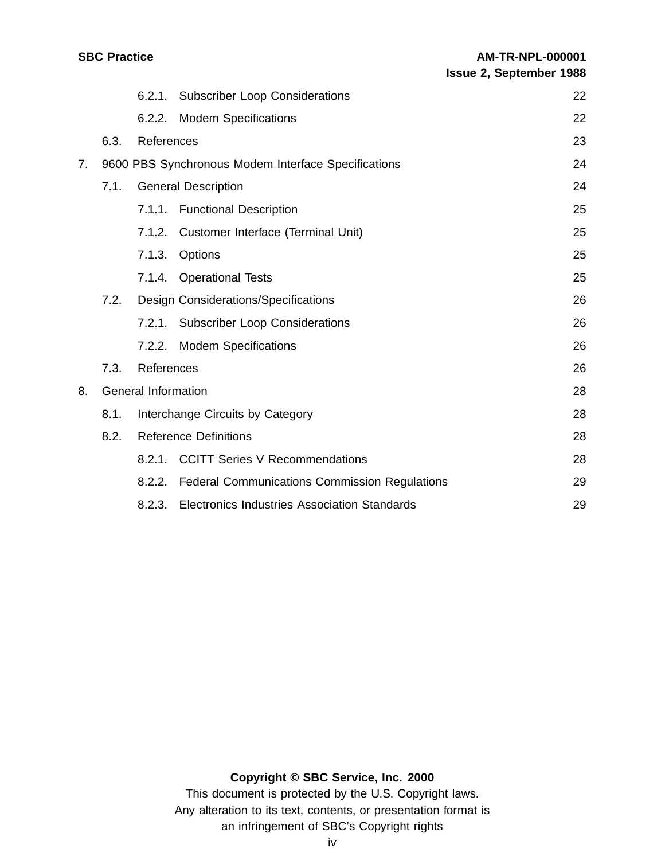|    |      |                            | 6.2.1. Subscriber Loop Considerations                | 22 |
|----|------|----------------------------|------------------------------------------------------|----|
|    |      |                            | 6.2.2. Modem Specifications                          | 22 |
|    | 6.3. | References                 |                                                      | 23 |
| 7. |      |                            | 9600 PBS Synchronous Modem Interface Specifications  | 24 |
|    | 7.1. |                            | <b>General Description</b>                           | 24 |
|    |      |                            | 7.1.1. Functional Description                        | 25 |
|    |      |                            | 7.1.2. Customer Interface (Terminal Unit)            | 25 |
|    |      |                            | 7.1.3. Options                                       | 25 |
|    |      |                            | 7.1.4. Operational Tests                             | 25 |
|    | 7.2. |                            | <b>Design Considerations/Specifications</b>          | 26 |
|    |      |                            | 7.2.1. Subscriber Loop Considerations                | 26 |
|    |      |                            | 7.2.2. Modem Specifications                          | 26 |
|    | 7.3. | References                 |                                                      | 26 |
| 8. |      | <b>General Information</b> |                                                      | 28 |
|    | 8.1. |                            | Interchange Circuits by Category                     | 28 |
|    | 8.2. |                            | <b>Reference Definitions</b>                         | 28 |
|    |      |                            | 8.2.1. CCITT Series V Recommendations                | 28 |
|    |      | 8.2.2.                     | <b>Federal Communications Commission Regulations</b> | 29 |
|    |      | 8.2.3.                     | Electronics Industries Association Standards         | 29 |

## **Copyright © SBC Service, Inc. 2000**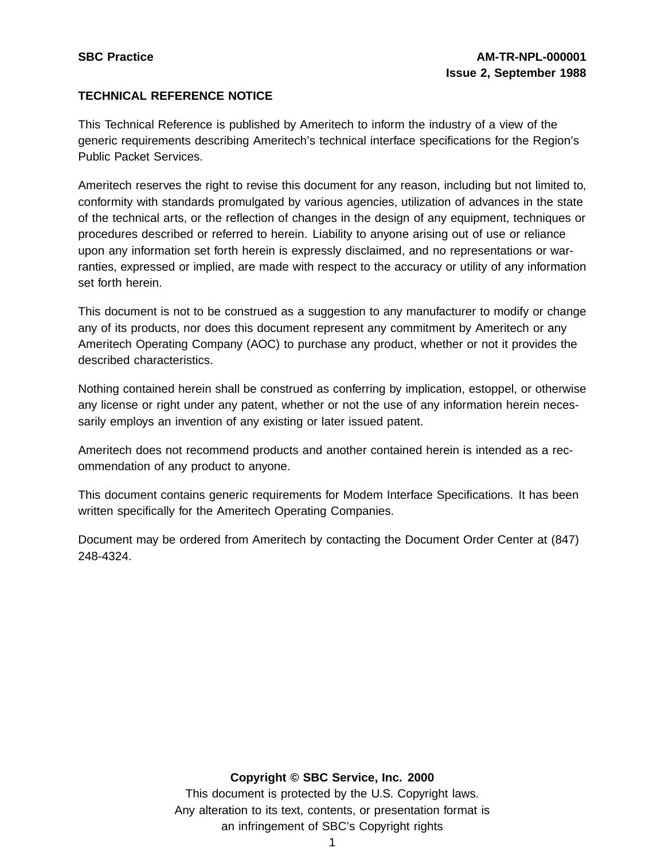## **TECHNICAL REFERENCE NOTICE**

This Technical Reference is published by Ameritech to inform the industry of a view of the generic requirements describing Ameritech's technical interface specifications for the Region's Public Packet Services.

Ameritech reserves the right to revise this document for any reason, including but not limited to, conformity with standards promulgated by various agencies, utilization of advances in the state of the technical arts, or the reflection of changes in the design of any equipment, techniques or procedures described or referred to herein. Liability to anyone arising out of use or reliance upon any information set forth herein is expressly disclaimed, and no representations or warranties, expressed or implied, are made with respect to the accuracy or utility of any information set forth herein.

This document is not to be construed as a suggestion to any manufacturer to modify or change any of its products, nor does this document represent any commitment by Ameritech or any Ameritech Operating Company (AOC) to purchase any product, whether or not it provides the described characteristics.

Nothing contained herein shall be construed as conferring by implication, estoppel, or otherwise any license or right under any patent, whether or not the use of any information herein necessarily employs an invention of any existing or later issued patent.

Ameritech does not recommend products and another contained herein is intended as a recommendation of any product to anyone.

This document contains generic requirements for Modem Interface Specifications. It has been written specifically for the Ameritech Operating Companies.

Document may be ordered from Ameritech by contacting the Document Order Center at (847) 248-4324.

#### **Copyright © SBC Service, Inc. 2000**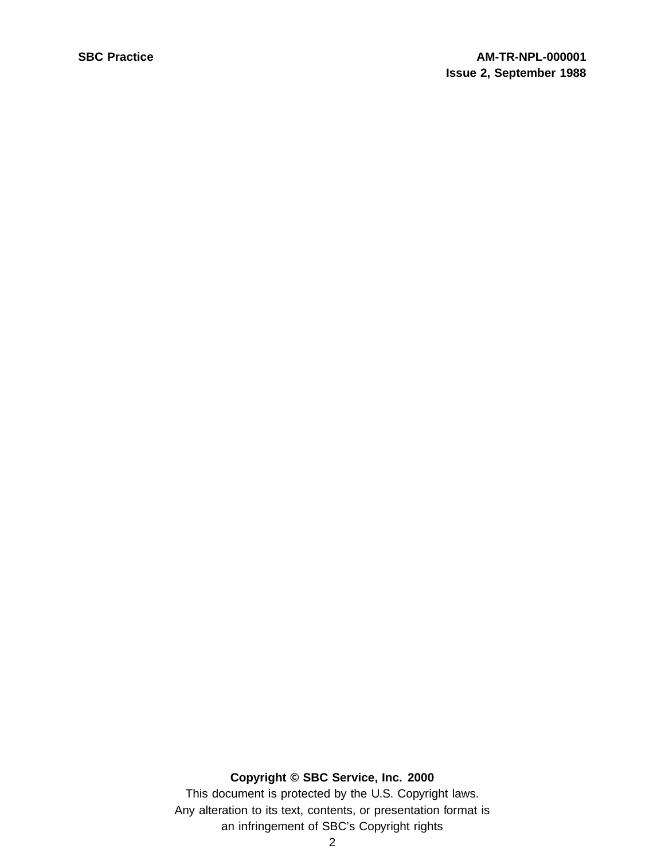## **Copyright © SBC Service, Inc. 2000**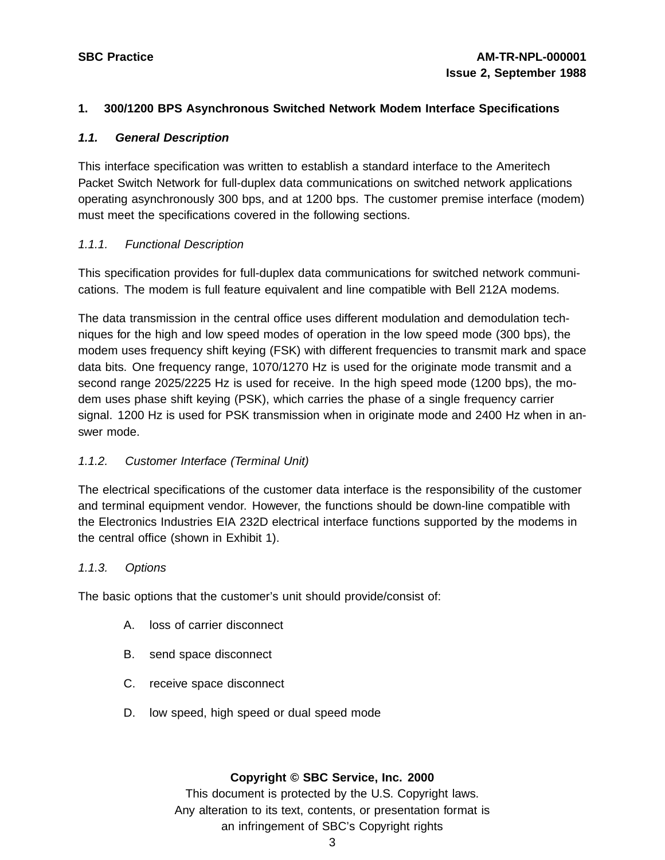## **1. 300/1200 BPS Asynchronous Switched Network Modem Interface Specifications**

## **1.1. General Description**

This interface specification was written to establish a standard interface to the Ameritech Packet Switch Network for full-duplex data communications on switched network applications operating asynchronously 300 bps, and at 1200 bps. The customer premise interface (modem) must meet the specifications covered in the following sections.

## 1.1.1. Functional Description

This specification provides for full-duplex data communications for switched network communications. The modem is full feature equivalent and line compatible with Bell 212A modems.

The data transmission in the central office uses different modulation and demodulation techniques for the high and low speed modes of operation in the low speed mode (300 bps), the modem uses frequency shift keying (FSK) with different frequencies to transmit mark and space data bits. One frequency range, 1070/1270 Hz is used for the originate mode transmit and a second range 2025/2225 Hz is used for receive. In the high speed mode (1200 bps), the modem uses phase shift keying (PSK), which carries the phase of a single frequency carrier signal. 1200 Hz is used for PSK transmission when in originate mode and 2400 Hz when in answer mode.

## 1.1.2. Customer Interface (Terminal Unit)

The electrical specifications of the customer data interface is the responsibility of the customer and terminal equipment vendor. However, the functions should be down-line compatible with the Electronics Industries EIA 232D electrical interface functions supported by the modems in the central office (shown in Exhibit 1).

### 1.1.3. Options

The basic options that the customer's unit should provide/consist of:

- A. loss of carrier disconnect
- B. send space disconnect
- C. receive space disconnect
- D. low speed, high speed or dual speed mode

### **Copyright © SBC Service, Inc. 2000**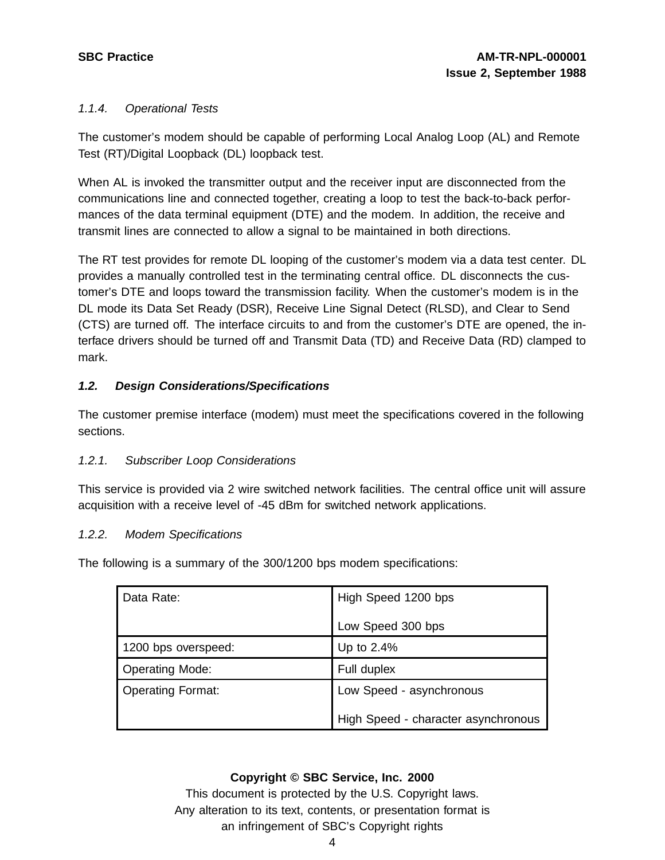## 1.1.4. Operational Tests

The customer's modem should be capable of performing Local Analog Loop (AL) and Remote Test (RT)/Digital Loopback (DL) loopback test.

When AL is invoked the transmitter output and the receiver input are disconnected from the communications line and connected together, creating a loop to test the back-to-back performances of the data terminal equipment (DTE) and the modem. In addition, the receive and transmit lines are connected to allow a signal to be maintained in both directions.

The RT test provides for remote DL looping of the customer's modem via a data test center. DL provides a manually controlled test in the terminating central office. DL disconnects the customer's DTE and loops toward the transmission facility. When the customer's modem is in the DL mode its Data Set Ready (DSR), Receive Line Signal Detect (RLSD), and Clear to Send (CTS) are turned off. The interface circuits to and from the customer's DTE are opened, the interface drivers should be turned off and Transmit Data (TD) and Receive Data (RD) clamped to mark.

## **1.2. Design Considerations/Specifications**

The customer premise interface (modem) must meet the specifications covered in the following sections.

## 1.2.1. Subscriber Loop Considerations

This service is provided via 2 wire switched network facilities. The central office unit will assure acquisition with a receive level of -45 dBm for switched network applications.

### 1.2.2. Modem Specifications

The following is a summary of the 300/1200 bps modem specifications:

| Data Rate:               | High Speed 1200 bps                 |
|--------------------------|-------------------------------------|
|                          | Low Speed 300 bps                   |
| 1200 bps overspeed:      | Up to 2.4%                          |
| <b>Operating Mode:</b>   | Full duplex                         |
| <b>Operating Format:</b> | Low Speed - asynchronous            |
|                          | High Speed - character asynchronous |

## **Copyright © SBC Service, Inc. 2000**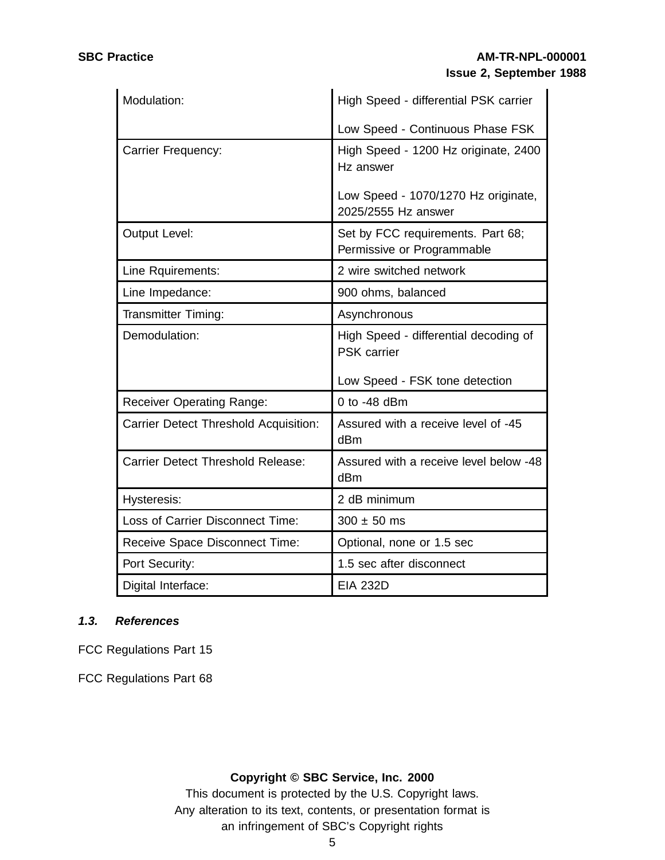| Modulation:                                  | High Speed - differential PSK carrier                           |
|----------------------------------------------|-----------------------------------------------------------------|
|                                              | Low Speed - Continuous Phase FSK                                |
| Carrier Frequency:                           | High Speed - 1200 Hz originate, 2400<br>Hz answer               |
|                                              | Low Speed - 1070/1270 Hz originate,<br>2025/2555 Hz answer      |
| Output Level:                                | Set by FCC requirements. Part 68;<br>Permissive or Programmable |
| Line Rquirements:                            | 2 wire switched network                                         |
| Line Impedance:                              | 900 ohms, balanced                                              |
| <b>Transmitter Timing:</b>                   | Asynchronous                                                    |
| Demodulation:                                | High Speed - differential decoding of<br><b>PSK</b> carrier     |
|                                              | Low Speed - FSK tone detection                                  |
| <b>Receiver Operating Range:</b>             | $0$ to -48 dBm                                                  |
| <b>Carrier Detect Threshold Acquisition:</b> | Assured with a receive level of -45<br>dBm                      |
| <b>Carrier Detect Threshold Release:</b>     | Assured with a receive level below -48<br>dBm                   |
| Hysteresis:                                  | 2 dB minimum                                                    |
| Loss of Carrier Disconnect Time:             | $300 \pm 50$ ms                                                 |
| Receive Space Disconnect Time:               | Optional, none or 1.5 sec                                       |
| Port Security:                               | 1.5 sec after disconnect                                        |
| Digital Interface:                           | <b>EIA 232D</b>                                                 |

## **1.3. References**

FCC Regulations Part 15

FCC Regulations Part 68

# **Copyright © SBC Service, Inc. 2000**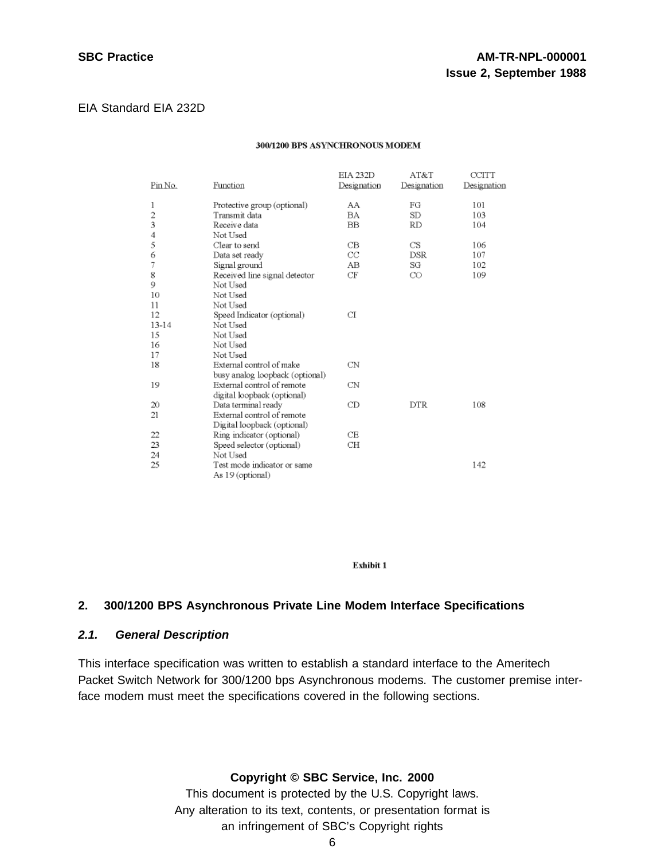### EIA Standard EIA 232D

#### 300/1200 BPS ASYNCHRONOUS MODEM

| Pin No.        | Function                                                    | <b>EIA 232D</b><br>Designation | AT&T<br>Designation | CCITT<br>Designation |
|----------------|-------------------------------------------------------------|--------------------------------|---------------------|----------------------|
| 1              | Protective group (optional)                                 | AA                             | FG                  | 101                  |
| $\overline{c}$ | Transmit data                                               | BA                             | SD                  | 103                  |
| 3              | Receive data                                                | BB                             | RD                  | 104                  |
| 4              | Not Used                                                    |                                |                     |                      |
| 5              | Clear to send                                               | CВ                             | CS                  | 106                  |
| 6              | Data set ready                                              | CC                             | DSR                 | 107                  |
| 7              | Signal ground                                               | AB                             | SG                  | 102                  |
| 8              | Received line signal detector                               | CF                             | CO                  | 109                  |
| 9              | Not Used                                                    |                                |                     |                      |
| 10             | Not Used                                                    |                                |                     |                      |
| 11             | Not Used                                                    |                                |                     |                      |
| 12             | Speed Indicator (optional)                                  | CI                             |                     |                      |
| $13 - 14$      | Not Used                                                    |                                |                     |                      |
| 15             | Not Used                                                    |                                |                     |                      |
| 16             | Not Used                                                    |                                |                     |                      |
| 17             | Not Used                                                    |                                |                     |                      |
| 18             | External control of make<br>busy analog loopback (optional) | CN                             |                     |                      |
| 19             | External control of remote<br>digital loopback (optional)   | CN                             |                     |                      |
| 20             | Data terminal ready                                         | CD                             | <b>DTR</b>          | 108                  |
| 21             | External control of remote                                  |                                |                     |                      |
|                | Digital loopback (optional)                                 |                                |                     |                      |
| 22             | Ring indicator (optional)                                   | CE                             |                     |                      |
| 23             | Speed selector (optional)                                   | CH                             |                     |                      |
| 24             | Not Used                                                    |                                |                     |                      |
| 25             | Test mode indicator or same                                 |                                |                     | 142                  |
|                | As 19 (optional)                                            |                                |                     |                      |

Exhibit 1

#### **2. 300/1200 BPS Asynchronous Private Line Modem Interface Specifications**

### **2.1. General Description**

This interface specification was written to establish a standard interface to the Ameritech Packet Switch Network for 300/1200 bps Asynchronous modems. The customer premise interface modem must meet the specifications covered in the following sections.

**Copyright © SBC Service, Inc. 2000**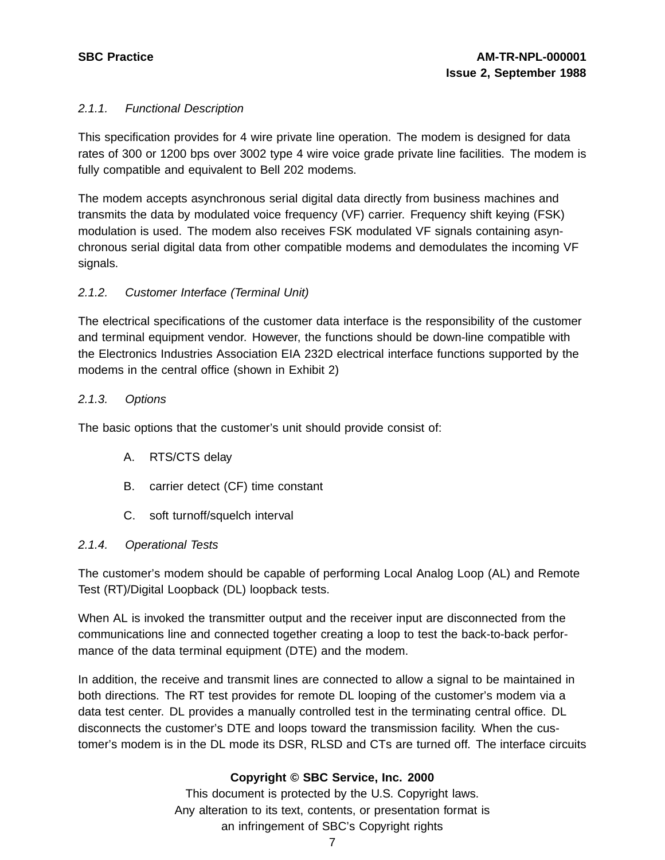## 2.1.1. Functional Description

This specification provides for 4 wire private line operation. The modem is designed for data rates of 300 or 1200 bps over 3002 type 4 wire voice grade private line facilities. The modem is fully compatible and equivalent to Bell 202 modems.

The modem accepts asynchronous serial digital data directly from business machines and transmits the data by modulated voice frequency (VF) carrier. Frequency shift keying (FSK) modulation is used. The modem also receives FSK modulated VF signals containing asynchronous serial digital data from other compatible modems and demodulates the incoming VF signals.

## 2.1.2. Customer Interface (Terminal Unit)

The electrical specifications of the customer data interface is the responsibility of the customer and terminal equipment vendor. However, the functions should be down-line compatible with the Electronics Industries Association EIA 232D electrical interface functions supported by the modems in the central office (shown in Exhibit 2)

## 2.1.3. Options

The basic options that the customer's unit should provide consist of:

- A. RTS/CTS delay
- B. carrier detect (CF) time constant
- C. soft turnoff/squelch interval

### 2.1.4. Operational Tests

The customer's modem should be capable of performing Local Analog Loop (AL) and Remote Test (RT)/Digital Loopback (DL) loopback tests.

When AL is invoked the transmitter output and the receiver input are disconnected from the communications line and connected together creating a loop to test the back-to-back performance of the data terminal equipment (DTE) and the modem.

In addition, the receive and transmit lines are connected to allow a signal to be maintained in both directions. The RT test provides for remote DL looping of the customer's modem via a data test center. DL provides a manually controlled test in the terminating central office. DL disconnects the customer's DTE and loops toward the transmission facility. When the customer's modem is in the DL mode its DSR, RLSD and CTs are turned off. The interface circuits

## **Copyright © SBC Service, Inc. 2000**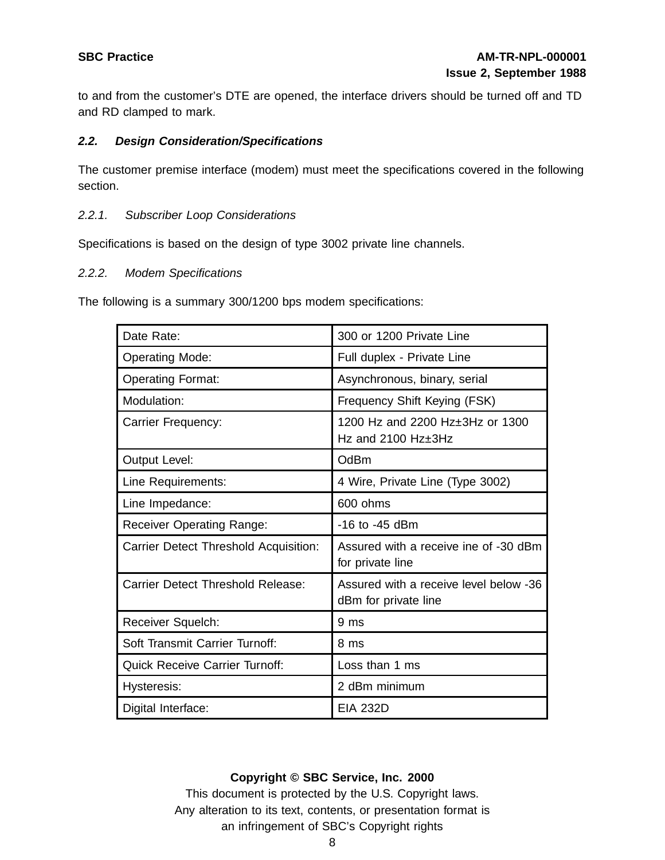to and from the customer's DTE are opened, the interface drivers should be turned off and TD and RD clamped to mark.

## **2.2. Design Consideration/Specifications**

The customer premise interface (modem) must meet the specifications covered in the following section.

## 2.2.1. Subscriber Loop Considerations

Specifications is based on the design of type 3002 private line channels.

### 2.2.2. Modem Specifications

The following is a summary 300/1200 bps modem specifications:

| Date Rate:                            | 300 or 1200 Private Line                                       |
|---------------------------------------|----------------------------------------------------------------|
| <b>Operating Mode:</b>                | Full duplex - Private Line                                     |
| <b>Operating Format:</b>              | Asynchronous, binary, serial                                   |
| Modulation:                           | Frequency Shift Keying (FSK)                                   |
| Carrier Frequency:                    | 1200 Hz and 2200 Hz $\pm$ 3Hz or 1300<br>Hz and 2100 Hz±3Hz    |
| Output Level:                         | OdBm                                                           |
| Line Requirements:                    | 4 Wire, Private Line (Type 3002)                               |
| Line Impedance:                       | 600 ohms                                                       |
| <b>Receiver Operating Range:</b>      | $-16$ to $-45$ dBm                                             |
| Carrier Detect Threshold Acquisition: | Assured with a receive ine of -30 dBm<br>for private line      |
| Carrier Detect Threshold Release:     | Assured with a receive level below -36<br>dBm for private line |
| Receiver Squelch:                     | 9 ms                                                           |
| Soft Transmit Carrier Turnoff:        | 8 ms                                                           |
| <b>Quick Receive Carrier Turnoff:</b> | Loss than 1 ms                                                 |
| Hysteresis:                           | 2 dBm minimum                                                  |
| Digital Interface:                    | <b>EIA 232D</b>                                                |

### **Copyright © SBC Service, Inc. 2000**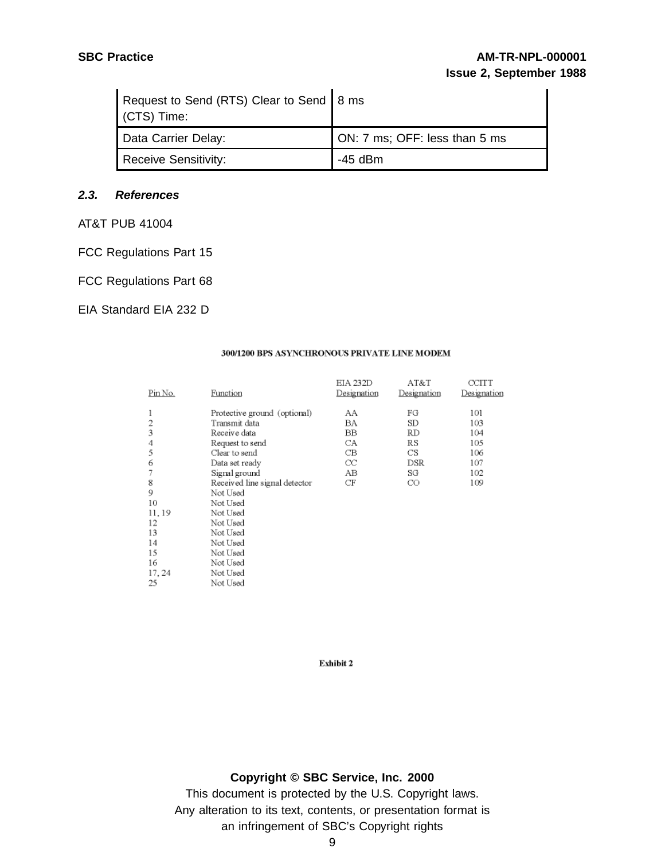# **SBC Practice AM-TR-NPL-000001 Issue 2, September 1988**

| Request to Send (RTS) Clear to Send   8 ms<br>(CTS) Time: |                               |
|-----------------------------------------------------------|-------------------------------|
| Data Carrier Delay:                                       | ON: 7 ms; OFF: less than 5 ms |
| <b>Receive Sensitivity:</b>                               | $-45$ dBm                     |

#### **2.3. References**

AT&T PUB 41004

FCC Regulations Part 15

FCC Regulations Part 68

EIA Standard EIA 232 D

#### 300/1200 BPS ASYNCHRONOUS PRIVATE LINE MODEM

|         |                               | EIA 232D    | AT&T        | CCITT       |
|---------|-------------------------------|-------------|-------------|-------------|
| Pin No. | Function                      | Designation | Designation | Designation |
|         |                               |             |             |             |
| 1       | Protective ground (optional)  | AA          | FG          | 101         |
| 2       | Transmit data                 | ΒA          | SD          | 103         |
| 3       | Receive data                  | ΒB          | RD          | 104         |
| 4       | Request to send               | СA          | RS          | 105         |
| 5       | Clear to send                 | CВ          | CS.         | 106         |
| 6       | Data set ready                | CC          | DSR         | 107         |
| 7       | Signal ground                 | AВ          | SG          | 102         |
| 8       | Received line signal detector | CF          | CO          | 109         |
| 9       | Not Used                      |             |             |             |
| 10      | Not Used                      |             |             |             |
| 11, 19  | Not Used                      |             |             |             |
| 12      | Not Used                      |             |             |             |
| 13      | Not Used                      |             |             |             |
| 14      | Not Used                      |             |             |             |
| 15      | Not Used                      |             |             |             |
| 16      | Not Used                      |             |             |             |
| 17, 24  | Not Used                      |             |             |             |
| 25      | Not Used                      |             |             |             |

Exhibit 2

## **Copyright © SBC Service, Inc. 2000**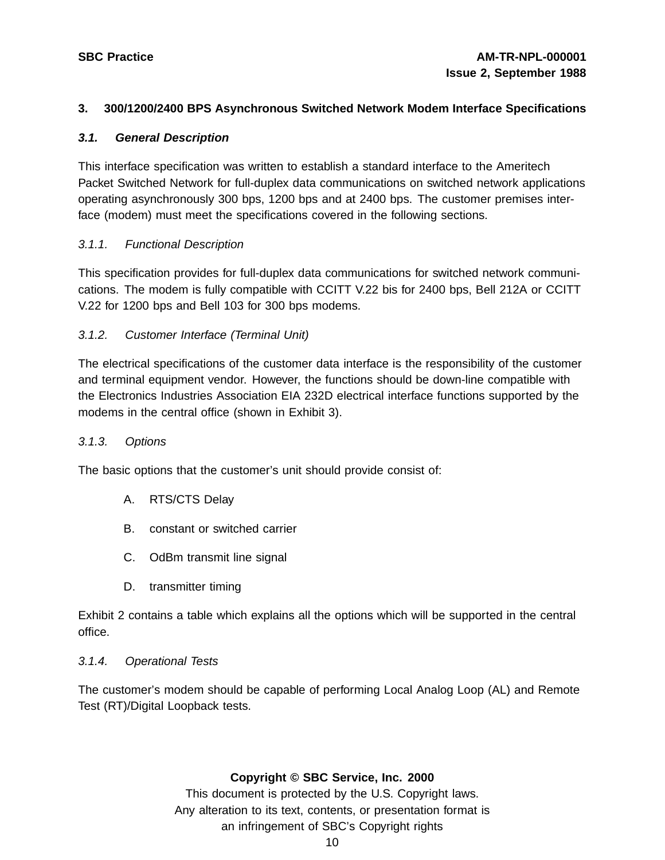## **3. 300/1200/2400 BPS Asynchronous Switched Network Modem Interface Specifications**

## **3.1. General Description**

This interface specification was written to establish a standard interface to the Ameritech Packet Switched Network for full-duplex data communications on switched network applications operating asynchronously 300 bps, 1200 bps and at 2400 bps. The customer premises interface (modem) must meet the specifications covered in the following sections.

## 3.1.1. Functional Description

This specification provides for full-duplex data communications for switched network communications. The modem is fully compatible with CCITT V.22 bis for 2400 bps, Bell 212A or CCITT V.22 for 1200 bps and Bell 103 for 300 bps modems.

## 3.1.2. Customer Interface (Terminal Unit)

The electrical specifications of the customer data interface is the responsibility of the customer and terminal equipment vendor. However, the functions should be down-line compatible with the Electronics Industries Association EIA 232D electrical interface functions supported by the modems in the central office (shown in Exhibit 3).

### 3.1.3. Options

The basic options that the customer's unit should provide consist of:

- A. RTS/CTS Delay
- B. constant or switched carrier
- C. OdBm transmit line signal
- D. transmitter timing

Exhibit 2 contains a table which explains all the options which will be supported in the central office.

### 3.1.4. Operational Tests

The customer's modem should be capable of performing Local Analog Loop (AL) and Remote Test (RT)/Digital Loopback tests.

### **Copyright © SBC Service, Inc. 2000**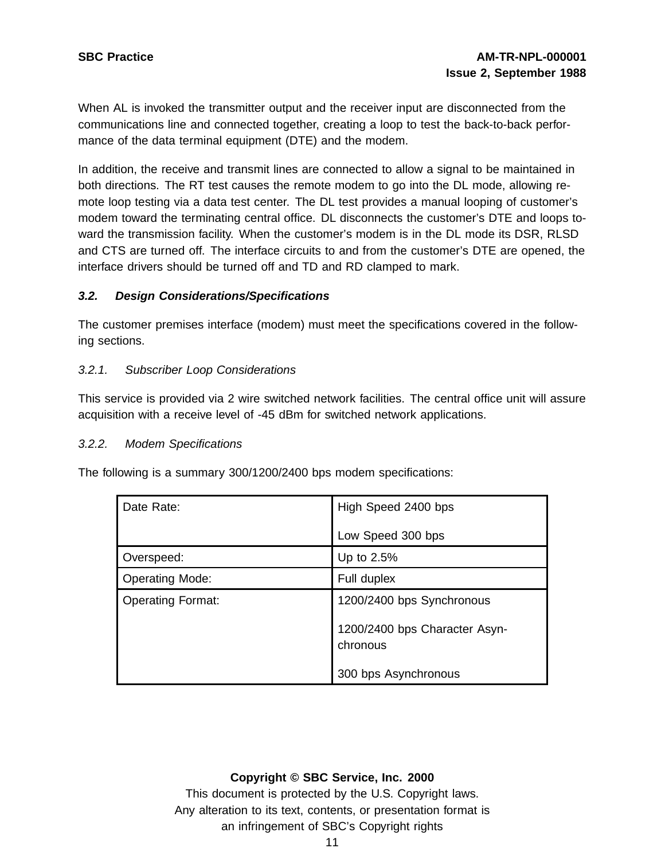When AL is invoked the transmitter output and the receiver input are disconnected from the communications line and connected together, creating a loop to test the back-to-back performance of the data terminal equipment (DTE) and the modem.

In addition, the receive and transmit lines are connected to allow a signal to be maintained in both directions. The RT test causes the remote modem to go into the DL mode, allowing remote loop testing via a data test center. The DL test provides a manual looping of customer's modem toward the terminating central office. DL disconnects the customer's DTE and loops toward the transmission facility. When the customer's modem is in the DL mode its DSR, RLSD and CTS are turned off. The interface circuits to and from the customer's DTE are opened, the interface drivers should be turned off and TD and RD clamped to mark.

## **3.2. Design Considerations/Specifications**

The customer premises interface (modem) must meet the specifications covered in the following sections.

## 3.2.1. Subscriber Loop Considerations

This service is provided via 2 wire switched network facilities. The central office unit will assure acquisition with a receive level of -45 dBm for switched network applications.

### 3.2.2. Modem Specifications

The following is a summary 300/1200/2400 bps modem specifications:

| Date Rate:               | High Speed 2400 bps                       |  |
|--------------------------|-------------------------------------------|--|
|                          | Low Speed 300 bps                         |  |
| Overspeed:               | Up to $2.5%$                              |  |
| <b>Operating Mode:</b>   | Full duplex                               |  |
| <b>Operating Format:</b> | 1200/2400 bps Synchronous                 |  |
|                          | 1200/2400 bps Character Asyn-<br>chronous |  |
|                          | 300 bps Asynchronous                      |  |

### **Copyright © SBC Service, Inc. 2000**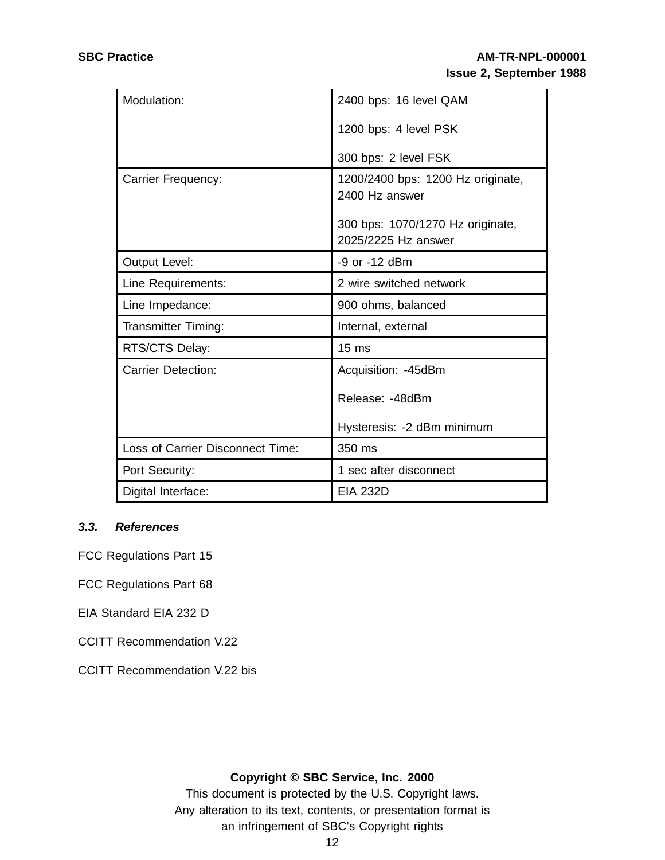| Modulation:                      | 2400 bps: 16 level QAM                                  |
|----------------------------------|---------------------------------------------------------|
|                                  | 1200 bps: 4 level PSK                                   |
|                                  | 300 bps: 2 level FSK                                    |
| Carrier Frequency:               | 1200/2400 bps: 1200 Hz originate,<br>2400 Hz answer     |
|                                  | 300 bps: 1070/1270 Hz originate,<br>2025/2225 Hz answer |
| Output Level:                    | -9 or -12 dBm                                           |
| Line Requirements:               | 2 wire switched network                                 |
| Line Impedance:                  | 900 ohms, balanced                                      |
| Transmitter Timing:              | Internal, external                                      |
| RTS/CTS Delay:                   | 15 <sub>ms</sub>                                        |
| <b>Carrier Detection:</b>        | Acquisition: -45dBm                                     |
|                                  | Release: -48dBm                                         |
|                                  | Hysteresis: - 2 dBm minimum                             |
| Loss of Carrier Disconnect Time: | 350 ms                                                  |
| Port Security:                   | 1 sec after disconnect                                  |
| Digital Interface:               | <b>EIA 232D</b>                                         |

## **3.3. References**

FCC Regulations Part 15

FCC Regulations Part 68

EIA Standard EIA 232 D

CCITT Recommendation V.22

CCITT Recommendation V.22 bis

## **Copyright © SBC Service, Inc. 2000**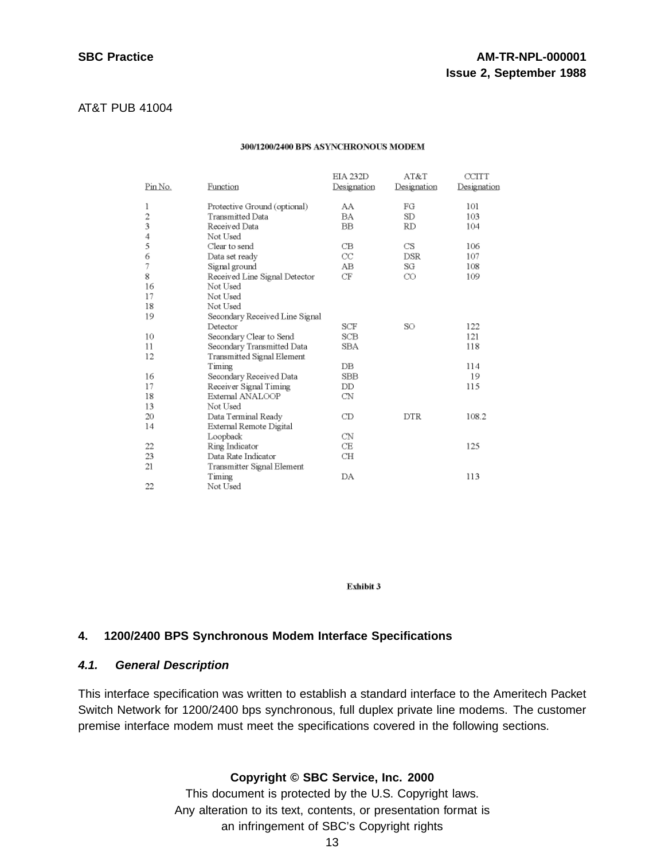#### AT&T PUB 41004

#### 300/1200/2400 BPS ASYNCHRONOUS MODEM

| Pin No. | Function                       | <b>EIA 232D</b><br>Designation | AT&T<br>Designation | CCITT<br>Designation |
|---------|--------------------------------|--------------------------------|---------------------|----------------------|
| 1       | Protective Ground (optional)   | AA                             | FG                  | 101                  |
| 2       | <b>Transmitted Data</b>        | BA                             | SD                  | 103                  |
| 3       | Received Data                  | BB                             | RD                  | 104                  |
| 4       | Not Used                       |                                |                     |                      |
| 5       | Clear to send                  | CВ                             | CS                  | 106                  |
| 6       | Data set ready                 | $_{\rm CC}$                    | <b>DSR</b>          | 107                  |
| 7       | Signal ground                  | AB                             | SG                  | 108                  |
| 8       | Received Line Signal Detector  | CF                             | CO                  | 109                  |
| 16      | Not Used                       |                                |                     |                      |
| 17      | Not Used                       |                                |                     |                      |
| 18      | Not Used                       |                                |                     |                      |
| 19      | Secondary Received Line Signal |                                |                     |                      |
|         | Detector                       | SCF                            | SO                  | 122                  |
| 10      | Secondary Clear to Send        | SCB                            |                     | 121                  |
| 11      | Secondary Transmitted Data     | <b>SBA</b>                     |                     | 118                  |
| 12      | Transmitted Signal Element     |                                |                     |                      |
|         | Timing                         | $DB$                           |                     | 114                  |
| 16      | Secondary Received Data        | <b>SBB</b>                     |                     | 19                   |
| 17      | Receiver Signal Timing         | DD                             |                     | 115                  |
| 18      | External ANALOOP               | CN                             |                     |                      |
| 13      | Not Used                       |                                |                     |                      |
| 20      | Data Terminal Ready            | CD                             | <b>DTR</b>          | 108.2                |
| 14      | External Remote Digital        |                                |                     |                      |
|         | Loopback                       | CN                             |                     |                      |
| 22      | Ring Indicator                 | СE                             |                     | 125                  |
| 23      | Data Rate Indicator            | CH                             |                     |                      |
| 21      | Transmitter Signal Element     |                                |                     |                      |
|         | Timing                         | DA                             |                     | 113                  |
| 22      | Not Used                       |                                |                     |                      |

Exhibit 3

#### **4. 1200/2400 BPS Synchronous Modem Interface Specifications**

#### **4.1. General Description**

This interface specification was written to establish a standard interface to the Ameritech Packet Switch Network for 1200/2400 bps synchronous, full duplex private line modems. The customer premise interface modem must meet the specifications covered in the following sections.

#### **Copyright © SBC Service, Inc. 2000**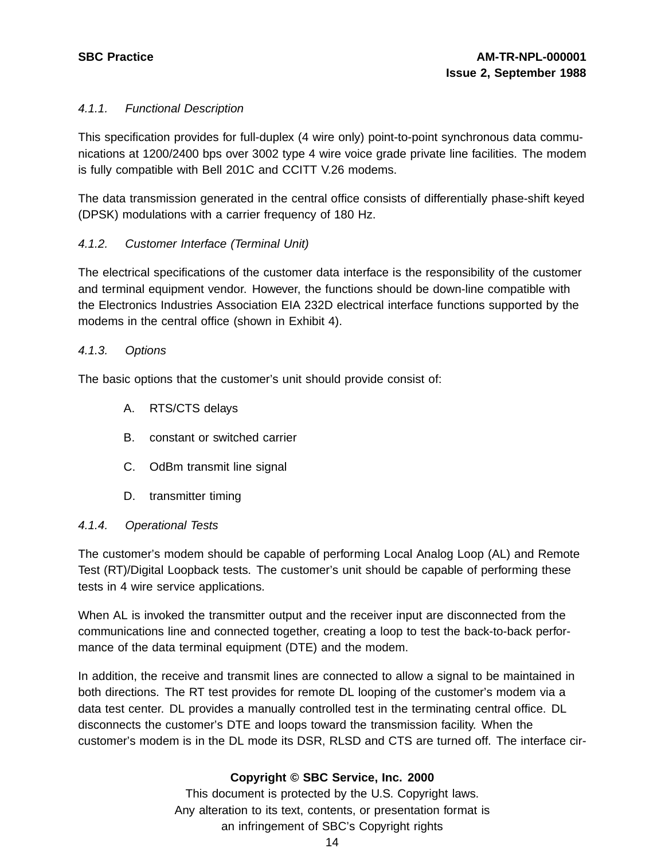## 4.1.1. Functional Description

This specification provides for full-duplex (4 wire only) point-to-point synchronous data communications at 1200/2400 bps over 3002 type 4 wire voice grade private line facilities. The modem is fully compatible with Bell 201C and CCITT V.26 modems.

The data transmission generated in the central office consists of differentially phase-shift keyed (DPSK) modulations with a carrier frequency of 180 Hz.

## 4.1.2. Customer Interface (Terminal Unit)

The electrical specifications of the customer data interface is the responsibility of the customer and terminal equipment vendor. However, the functions should be down-line compatible with the Electronics Industries Association EIA 232D electrical interface functions supported by the modems in the central office (shown in Exhibit 4).

### 4.1.3. Options

The basic options that the customer's unit should provide consist of:

- A. RTS/CTS delays
- B. constant or switched carrier
- C. OdBm transmit line signal
- D. transmitter timing

### 4.1.4. Operational Tests

The customer's modem should be capable of performing Local Analog Loop (AL) and Remote Test (RT)/Digital Loopback tests. The customer's unit should be capable of performing these tests in 4 wire service applications.

When AL is invoked the transmitter output and the receiver input are disconnected from the communications line and connected together, creating a loop to test the back-to-back performance of the data terminal equipment (DTE) and the modem.

In addition, the receive and transmit lines are connected to allow a signal to be maintained in both directions. The RT test provides for remote DL looping of the customer's modem via a data test center. DL provides a manually controlled test in the terminating central office. DL disconnects the customer's DTE and loops toward the transmission facility. When the customer's modem is in the DL mode its DSR, RLSD and CTS are turned off. The interface cir-

## **Copyright © SBC Service, Inc. 2000**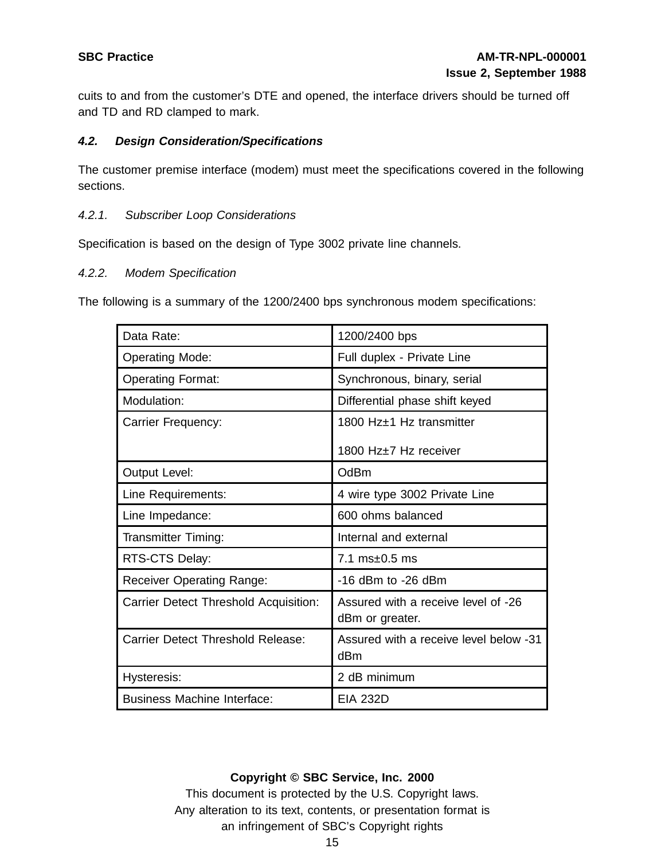cuits to and from the customer's DTE and opened, the interface drivers should be turned off and TD and RD clamped to mark.

## **4.2. Design Consideration/Specifications**

The customer premise interface (modem) must meet the specifications covered in the following sections.

## 4.2.1. Subscriber Loop Considerations

Specification is based on the design of Type 3002 private line channels.

### 4.2.2. Modem Specification

The following is a summary of the 1200/2400 bps synchronous modem specifications:

| Data Rate:                            | 1200/2400 bps                                          |
|---------------------------------------|--------------------------------------------------------|
| <b>Operating Mode:</b>                | Full duplex - Private Line                             |
| <b>Operating Format:</b>              | Synchronous, binary, serial                            |
| Modulation:                           | Differential phase shift keyed                         |
| Carrier Frequency:                    | 1800 Hz±1 Hz transmitter                               |
|                                       | 1800 Hz±7 Hz receiver                                  |
| Output Level:                         | OdBm                                                   |
| Line Requirements:                    | 4 wire type 3002 Private Line                          |
| Line Impedance:                       | 600 ohms balanced                                      |
| <b>Transmitter Timing:</b>            | Internal and external                                  |
| RTS-CTS Delay:                        | $7.1 \text{ ms} \pm 0.5 \text{ ms}$                    |
| <b>Receiver Operating Range:</b>      | $-16$ dBm to $-26$ dBm                                 |
| Carrier Detect Threshold Acquisition: | Assured with a receive level of -26<br>dBm or greater. |
| Carrier Detect Threshold Release:     | Assured with a receive level below -31<br>dBm          |
| Hysteresis:                           | 2 dB minimum                                           |
| <b>Business Machine Interface:</b>    | <b>EIA 232D</b>                                        |

### **Copyright © SBC Service, Inc. 2000**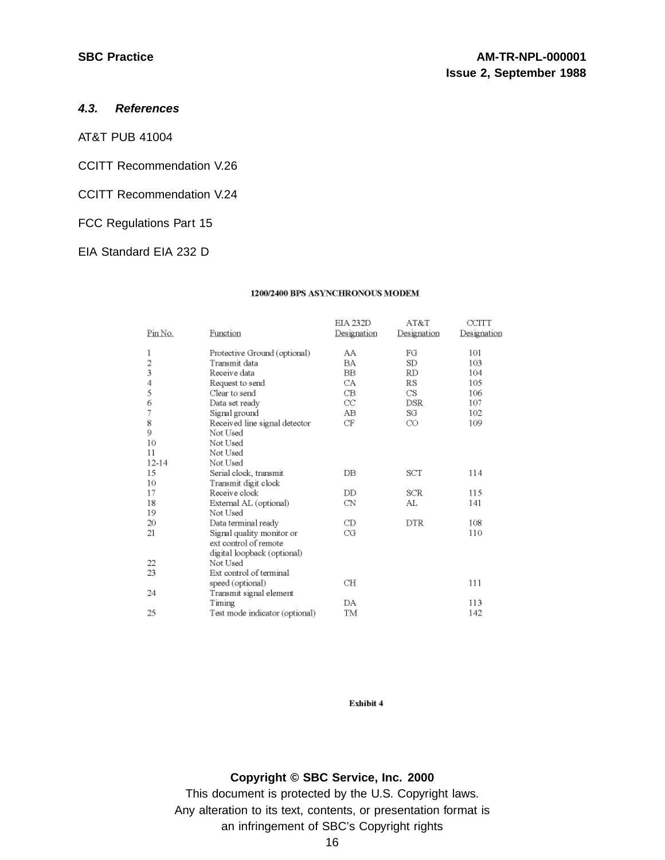#### **4.3. References**

AT&T PUB 41004

CCITT Recommendation V.26

CCITT Recommendation V.24

FCC Regulations Part 15

EIA Standard EIA 232 D

#### 1200/2400 BPS ASYNCHRONOUS MODEM

|                         |                                                    | <b>EIA 232D</b> | AT&T        | CCITT       |
|-------------------------|----------------------------------------------------|-----------------|-------------|-------------|
| Pin No.                 | Function                                           | Designation     | Designation | Designation |
| 1                       | Protective Ground (optional)                       | AA              | FG          | 101         |
| $\overline{\mathbf{c}}$ | Transmit data                                      | ΒA              | $_{\rm SD}$ | 103         |
| 3                       | Receive data                                       | ΒB              | RD          | 104         |
| 4                       | Request to send                                    | СA              | $_{RS}$     | 105         |
| 5                       | Clear to send                                      | CВ              | CS.         | 106         |
| 6                       | Data set ready                                     | $_{\rm CC}$     | DSR         | 107         |
| 7                       | Signal ground                                      | АB              | SG          | 102         |
| 8                       | Received line signal detector                      | СF              | CO          | 109         |
| 9                       | Not Used                                           |                 |             |             |
| 10                      | Not Used                                           |                 |             |             |
| 11                      | Not Used                                           |                 |             |             |
| $12 - 14$               | Not Used                                           |                 |             |             |
| 15                      | Serial clock, transmit                             | $DB$            | SCT         | 114         |
| 10                      | Transmit digit clock                               |                 |             |             |
| 17                      | Receive clock                                      | DD              | SCR         | 115         |
| 18                      | External AL (optional)                             | CN              | AL          | 141         |
| 19                      | Not Used                                           |                 |             |             |
| 20                      | Data terminal ready                                | CD              | <b>DTR</b>  | 108         |
| 21                      | Signal quality monitor or<br>ext control of remote | CG              |             | 110         |
| 22                      | digital loopback (optional)<br>Not Used            |                 |             |             |
| 23                      | Ext control of terminal                            |                 |             |             |
|                         |                                                    | CН              |             | 111         |
| 24                      | speed (optional)                                   |                 |             |             |
|                         | Transmit signal element                            | DA              |             | 113         |
|                         | Timing                                             |                 |             |             |
| 25                      | Test mode indicator (optional)                     | TМ              |             | 142         |

Exhibit 4

#### **Copyright © SBC Service, Inc. 2000**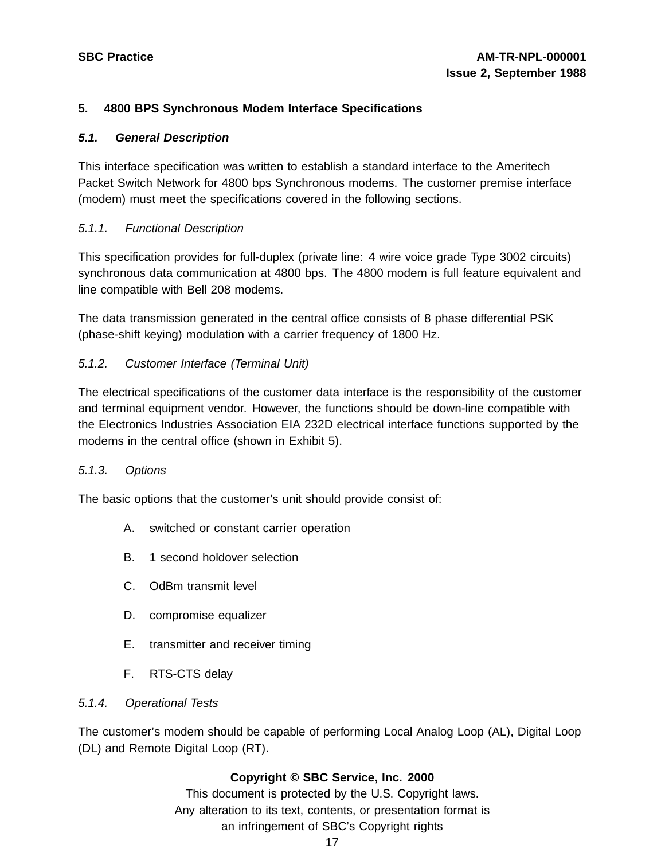## **5. 4800 BPS Synchronous Modem Interface Specifications**

### **5.1. General Description**

This interface specification was written to establish a standard interface to the Ameritech Packet Switch Network for 4800 bps Synchronous modems. The customer premise interface (modem) must meet the specifications covered in the following sections.

### 5.1.1. Functional Description

This specification provides for full-duplex (private line: 4 wire voice grade Type 3002 circuits) synchronous data communication at 4800 bps. The 4800 modem is full feature equivalent and line compatible with Bell 208 modems.

The data transmission generated in the central office consists of 8 phase differential PSK (phase-shift keying) modulation with a carrier frequency of 1800 Hz.

## 5.1.2. Customer Interface (Terminal Unit)

The electrical specifications of the customer data interface is the responsibility of the customer and terminal equipment vendor. However, the functions should be down-line compatible with the Electronics Industries Association EIA 232D electrical interface functions supported by the modems in the central office (shown in Exhibit 5).

### 5.1.3. Options

The basic options that the customer's unit should provide consist of:

- A. switched or constant carrier operation
- B. 1 second holdover selection
- C. OdBm transmit level
- D. compromise equalizer
- E. transmitter and receiver timing
- F. RTS-CTS delay

### 5.1.4. Operational Tests

The customer's modem should be capable of performing Local Analog Loop (AL), Digital Loop (DL) and Remote Digital Loop (RT).

### **Copyright © SBC Service, Inc. 2000**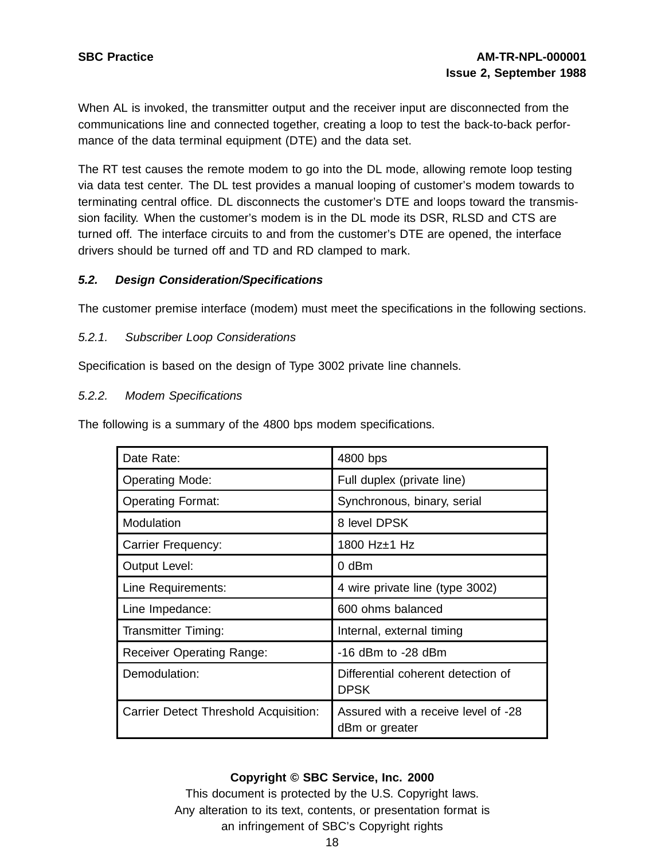When AL is invoked, the transmitter output and the receiver input are disconnected from the communications line and connected together, creating a loop to test the back-to-back performance of the data terminal equipment (DTE) and the data set.

The RT test causes the remote modem to go into the DL mode, allowing remote loop testing via data test center. The DL test provides a manual looping of customer's modem towards to terminating central office. DL disconnects the customer's DTE and loops toward the transmission facility. When the customer's modem is in the DL mode its DSR, RLSD and CTS are turned off. The interface circuits to and from the customer's DTE are opened, the interface drivers should be turned off and TD and RD clamped to mark.

## **5.2. Design Consideration/Specifications**

The customer premise interface (modem) must meet the specifications in the following sections.

### 5.2.1. Subscriber Loop Considerations

Specification is based on the design of Type 3002 private line channels.

### 5.2.2. Modem Specifications

The following is a summary of the 4800 bps modem specifications.

| Date Rate:                            | 4800 bps                                              |
|---------------------------------------|-------------------------------------------------------|
| <b>Operating Mode:</b>                | Full duplex (private line)                            |
| <b>Operating Format:</b>              | Synchronous, binary, serial                           |
| Modulation                            | 8 level DPSK                                          |
| Carrier Frequency:                    | 1800 Hz±1 Hz                                          |
| Output Level:                         | 0 dBm                                                 |
| Line Requirements:                    | 4 wire private line (type 3002)                       |
| Line Impedance:                       | 600 ohms balanced                                     |
| Transmitter Timing:                   | Internal, external timing                             |
| <b>Receiver Operating Range:</b>      | $-16$ dBm to $-28$ dBm                                |
| Demodulation:                         | Differential coherent detection of<br><b>DPSK</b>     |
| Carrier Detect Threshold Acquisition: | Assured with a receive level of -28<br>dBm or greater |

## **Copyright © SBC Service, Inc. 2000**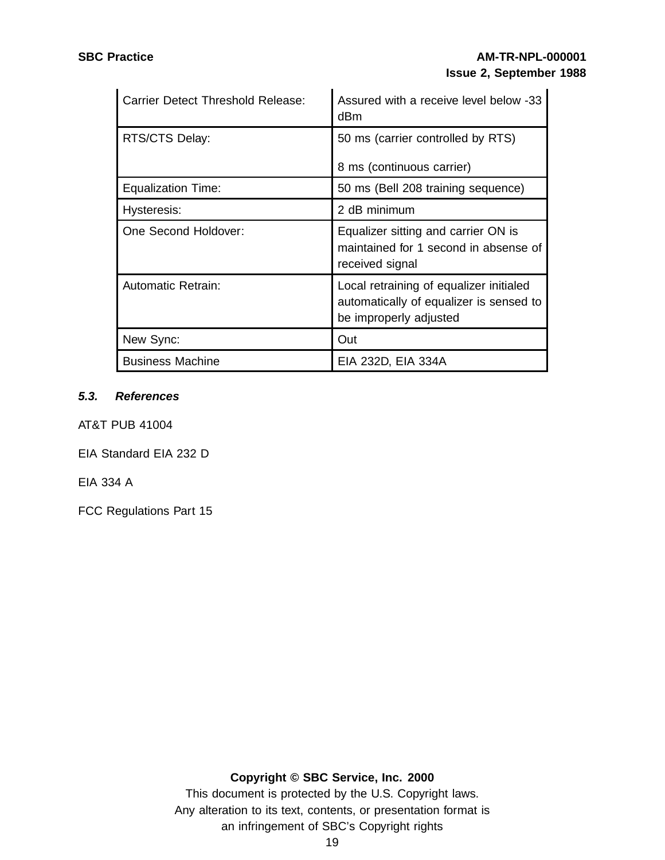| Carrier Detect Threshold Release: | Assured with a receive level below -33<br>dBm                                                                |
|-----------------------------------|--------------------------------------------------------------------------------------------------------------|
| RTS/CTS Delay:                    | 50 ms (carrier controlled by RTS)                                                                            |
|                                   | 8 ms (continuous carrier)                                                                                    |
| Equalization Time:                | 50 ms (Bell 208 training sequence)                                                                           |
| Hysteresis:                       | 2 dB minimum                                                                                                 |
| One Second Holdover:              | Equalizer sitting and carrier ON is<br>maintained for 1 second in absense of<br>received signal              |
| Automatic Retrain:                | Local retraining of equalizer initialed<br>automatically of equalizer is sensed to<br>be improperly adjusted |
| New Sync:                         | Out                                                                                                          |
| <b>Business Machine</b>           | EIA 232D, EIA 334A                                                                                           |

## **5.3. References**

AT&T PUB 41004

EIA Standard EIA 232 D

EIA 334 A

FCC Regulations Part 15

# **Copyright © SBC Service, Inc. 2000**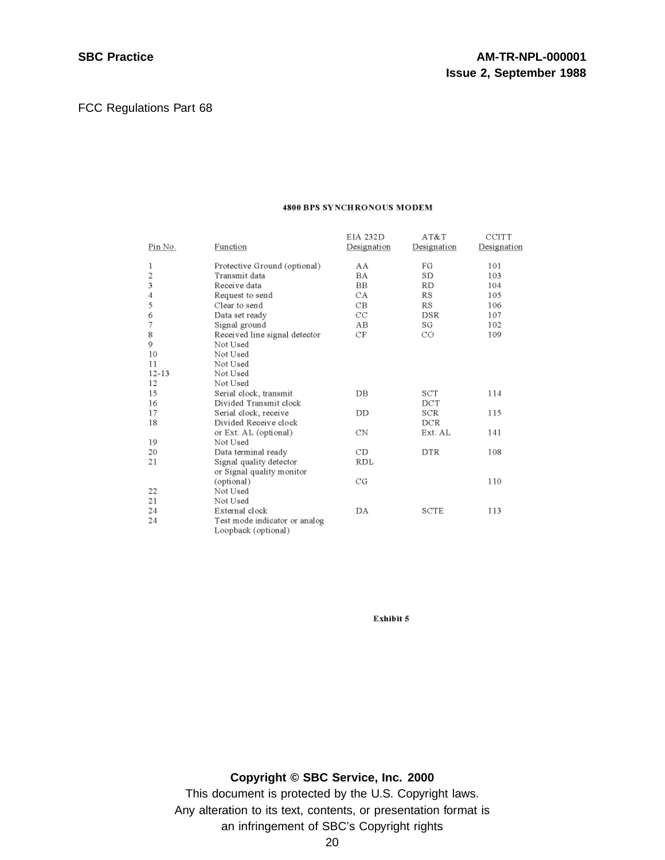## FCC Regulations Part 68

#### 4800 BPS SYNCHRONOUS MODEM

|                |                               | <b>EIA 232D</b> | AT&T        | CCITT       |
|----------------|-------------------------------|-----------------|-------------|-------------|
| Pin No.        | Function                      | Designation     | Designation | Designation |
| 1              | Protective Ground (optional)  | ΑA              | FG          | 101         |
| $\overline{c}$ | Transmit data                 | BA              | SD          | 103         |
| 3              | Receive data                  | <b>BB</b>       | RD          | 104         |
| 4              | Request to send               | СA              | $_{RS}$     | 105         |
| 5              | Clear to send                 | CВ              | RS          | 106         |
| 6              | Data set ready                | $_{\rm CC}$     | DSR         | 107         |
| 7              | Signal ground                 | AB              | SG          | 102         |
| 8              | Received line signal detector | СF              | CO          | 109         |
| 9              | Not Used                      |                 |             |             |
| 10             | Not Used                      |                 |             |             |
| 11             | Not Used                      |                 |             |             |
| $12 - 13$      | Not Used                      |                 |             |             |
| 12             | Not Used                      |                 |             |             |
| 15             | Serial clock, transmit        | DB              | SCT         | 114         |
| 16             | Divided Transmit clock        |                 | DCT         |             |
| 17             | Serial clock, receive         | DD              | SCR         | 115         |
| 18             | Divided Receive clock         |                 | DCR         |             |
|                | or Ext. AL (optional)         | CN              | Ext. AL     | 141         |
| 19             | Not Used                      |                 |             |             |
| 20             | Data terminal ready           | CD.             | <b>DTR</b>  | 108         |
| 21             | Signal quality detector       | RDL             |             |             |
|                | or Signal quality monitor     |                 |             |             |
|                | (optional)                    | CG              |             | 110         |
| 22             | Not Used                      |                 |             |             |
| 21             | Not Used                      |                 |             |             |
| 24             | External clock                | DA              | SCTE        | 113         |
| 24             | Test mode indicator or analog |                 |             |             |
|                | Loopback (optional)           |                 |             |             |
|                |                               |                 |             |             |

Exhibit 5

## **Copyright © SBC Service, Inc. 2000**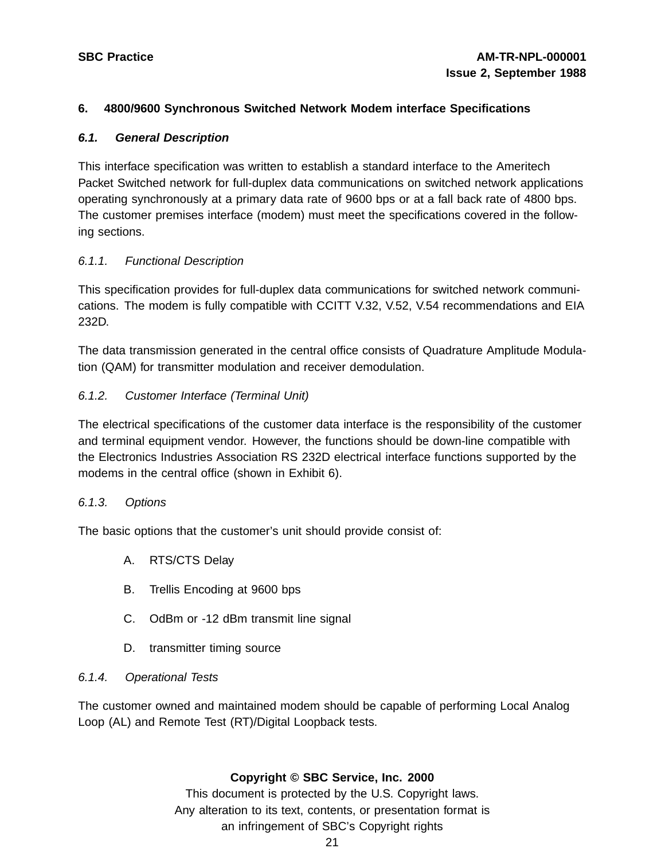## **6. 4800/9600 Synchronous Switched Network Modem interface Specifications**

### **6.1. General Description**

This interface specification was written to establish a standard interface to the Ameritech Packet Switched network for full-duplex data communications on switched network applications operating synchronously at a primary data rate of 9600 bps or at a fall back rate of 4800 bps. The customer premises interface (modem) must meet the specifications covered in the following sections.

### 6.1.1. Functional Description

This specification provides for full-duplex data communications for switched network communications. The modem is fully compatible with CCITT V.32, V.52, V.54 recommendations and EIA 232D.

The data transmission generated in the central office consists of Quadrature Amplitude Modulation (QAM) for transmitter modulation and receiver demodulation.

## 6.1.2. Customer Interface (Terminal Unit)

The electrical specifications of the customer data interface is the responsibility of the customer and terminal equipment vendor. However, the functions should be down-line compatible with the Electronics Industries Association RS 232D electrical interface functions supported by the modems in the central office (shown in Exhibit 6).

### 6.1.3. Options

The basic options that the customer's unit should provide consist of:

- A. RTS/CTS Delay
- B. Trellis Encoding at 9600 bps
- C. OdBm or -12 dBm transmit line signal
- D. transmitter timing source

### 6.1.4. Operational Tests

The customer owned and maintained modem should be capable of performing Local Analog Loop (AL) and Remote Test (RT)/Digital Loopback tests.

### **Copyright © SBC Service, Inc. 2000**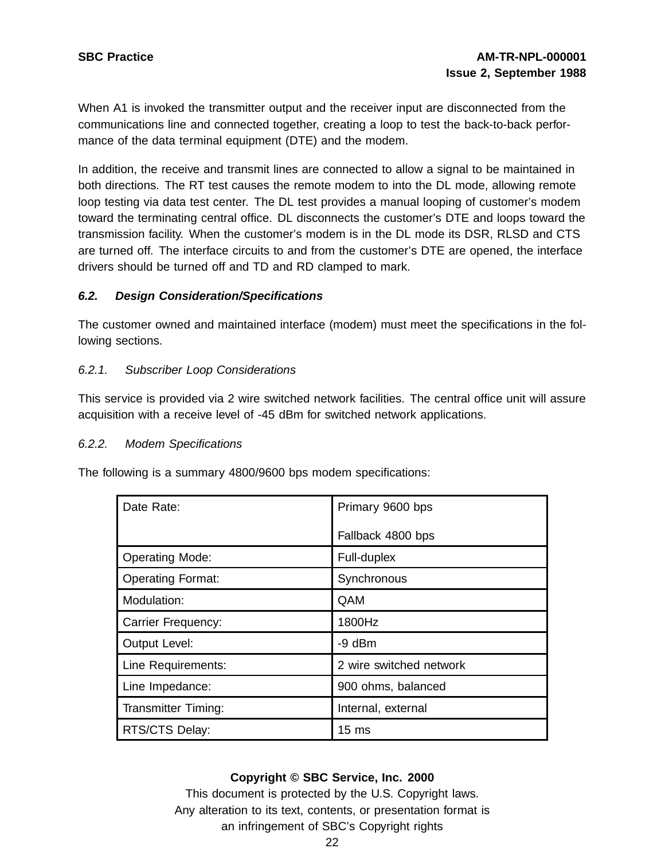When A1 is invoked the transmitter output and the receiver input are disconnected from the communications line and connected together, creating a loop to test the back-to-back performance of the data terminal equipment (DTE) and the modem.

In addition, the receive and transmit lines are connected to allow a signal to be maintained in both directions. The RT test causes the remote modem to into the DL mode, allowing remote loop testing via data test center. The DL test provides a manual looping of customer's modem toward the terminating central office. DL disconnects the customer's DTE and loops toward the transmission facility. When the customer's modem is in the DL mode its DSR, RLSD and CTS are turned off. The interface circuits to and from the customer's DTE are opened, the interface drivers should be turned off and TD and RD clamped to mark.

## **6.2. Design Consideration/Specifications**

The customer owned and maintained interface (modem) must meet the specifications in the following sections.

## 6.2.1. Subscriber Loop Considerations

This service is provided via 2 wire switched network facilities. The central office unit will assure acquisition with a receive level of -45 dBm for switched network applications.

### 6.2.2. Modem Specifications

The following is a summary 4800/9600 bps modem specifications:

| Date Rate:                 | Primary 9600 bps        |
|----------------------------|-------------------------|
|                            | Fallback 4800 bps       |
| <b>Operating Mode:</b>     | Full-duplex             |
| <b>Operating Format:</b>   | Synchronous             |
| Modulation:                | QAM                     |
| Carrier Frequency:         | 1800Hz                  |
| Output Level:              | -9 dBm                  |
| Line Requirements:         | 2 wire switched network |
| Line Impedance:            | 900 ohms, balanced      |
| <b>Transmitter Timing:</b> | Internal, external      |
| RTS/CTS Delay:             | $15 \text{ ms}$         |

## **Copyright © SBC Service, Inc. 2000**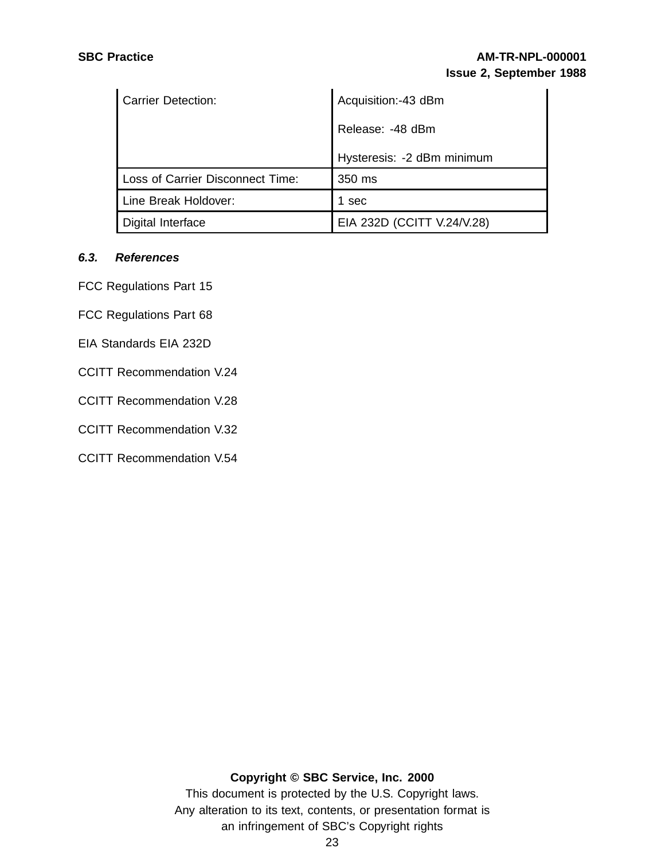| Carrier Detection:               | Acquisition:-43 dBm         |
|----------------------------------|-----------------------------|
|                                  | Release: -48 dBm            |
|                                  | Hysteresis: - 2 dBm minimum |
| Loss of Carrier Disconnect Time: | 350 ms                      |
| Line Break Holdover:             | sec                         |
| Digital Interface                | EIA 232D (CCITT V.24/V.28)  |

## **6.3. References**

FCC Regulations Part 15

FCC Regulations Part 68

EIA Standards EIA 232D

CCITT Recommendation V.24

CCITT Recommendation V.28

CCITT Recommendation V.32

CCITT Recommendation V.54

#### **Copyright © SBC Service, Inc. 2000**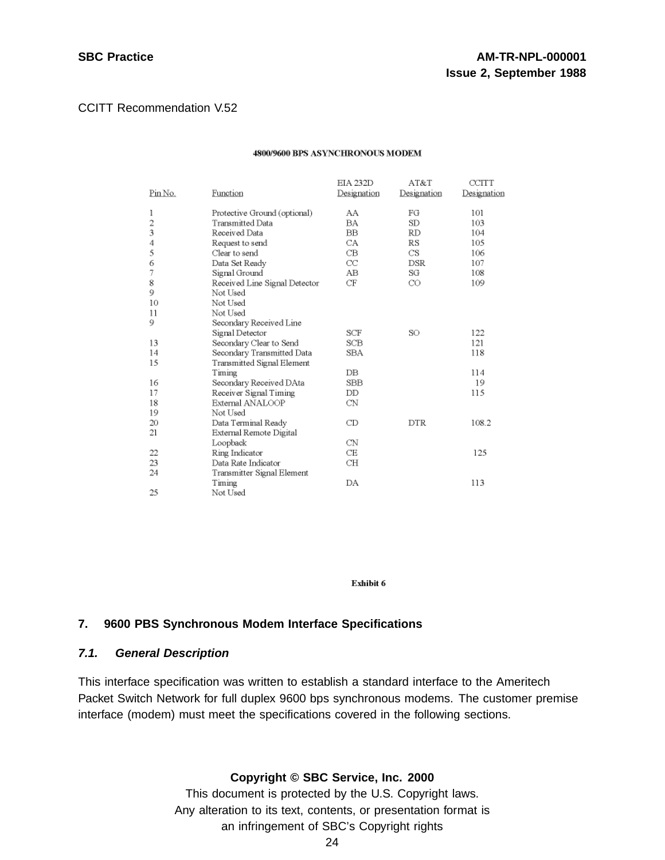#### CCITT Recommendation V.52

#### 4800/9600 BPS ASYNCHRONOUS MODEM

| Pin No.                 | Function                      | <b>EIA 232D</b><br>Designation | AT&T<br>Designation | CCITT<br>Designation |
|-------------------------|-------------------------------|--------------------------------|---------------------|----------------------|
|                         |                               |                                |                     |                      |
| 1                       | Protective Ground (optional)  | AA                             | FG                  | 101                  |
| $\overline{\mathbf{c}}$ | <b>Transmitted Data</b>       | BA                             | SD                  | 103                  |
| 3                       | Received Data                 | ΒB                             | RD                  | 104                  |
| 4                       | Request to send               | CA                             | RS                  | 105                  |
| 5                       | Clear to send                 | CВ                             | CS.                 | 106                  |
| 6                       | Data Set Ready                | CC                             | DSR                 | 107                  |
| 7                       | Signal Ground                 | AB                             | SG                  | 108                  |
| 8                       | Received Line Signal Detector | CF                             | CO                  | 109                  |
| 9                       | Not Used                      |                                |                     |                      |
| 10                      | Not Used                      |                                |                     |                      |
| 11                      | Not Used                      |                                |                     |                      |
| 9                       | Secondary Received Line       |                                |                     |                      |
|                         | Signal Detector               | SCF                            | SO                  | 122                  |
| 13                      | Secondary Clear to Send       | SCB                            |                     | 121                  |
| 14                      | Secondary Transmitted Data    | <b>SBA</b>                     |                     | 118                  |
| 15                      | Transmitted Signal Element    |                                |                     |                      |
|                         | Timing                        | $_{\rm DB}$                    |                     | 114                  |
| 16                      | Secondary Received DAta       | <b>SBB</b>                     |                     | 19                   |
| 17                      | Receiver Signal Timing        | DD                             |                     | 115                  |
| 18                      | External ANALOOP              | CN                             |                     |                      |
| 19                      | Not Used                      |                                |                     |                      |
| 20                      | Data Terminal Ready           | CD                             | <b>DTR</b>          | 108.2                |
| 21                      | External Remote Digital       |                                |                     |                      |
|                         | Loopback                      | CN                             |                     |                      |
| 22                      | Ring Indicator                | CE                             |                     | 125                  |
| 23                      | Data Rate Indicator           | СH                             |                     |                      |
| 24                      | Transmitter Signal Element    |                                |                     |                      |
|                         | Timing                        | DА                             |                     | 113                  |
| 25                      | Not Used                      |                                |                     |                      |
|                         |                               |                                |                     |                      |

Exhibit 6

#### **7. 9600 PBS Synchronous Modem Interface Specifications**

#### **7.1. General Description**

This interface specification was written to establish a standard interface to the Ameritech Packet Switch Network for full duplex 9600 bps synchronous modems. The customer premise interface (modem) must meet the specifications covered in the following sections.

#### **Copyright © SBC Service, Inc. 2000**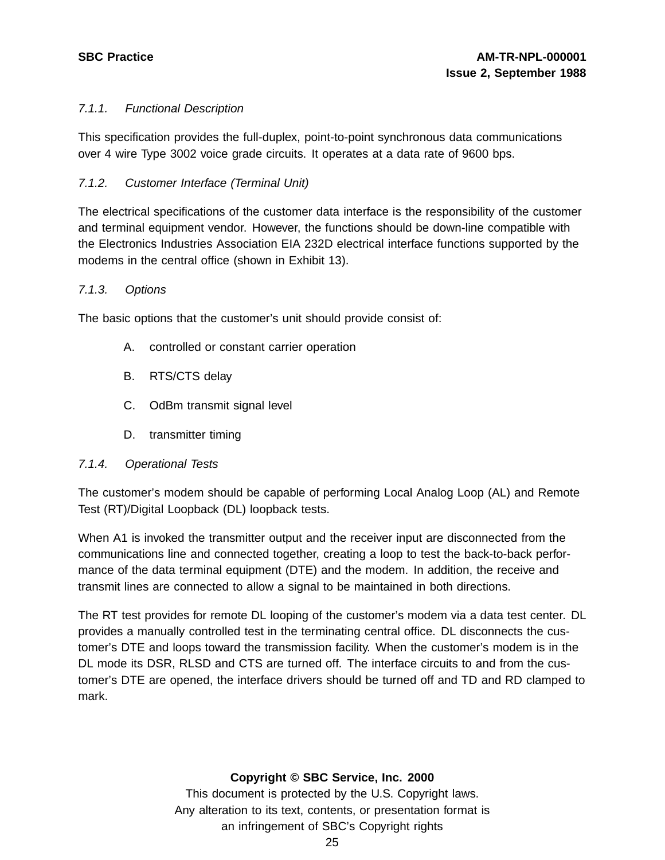## 7.1.1. Functional Description

This specification provides the full-duplex, point-to-point synchronous data communications over 4 wire Type 3002 voice grade circuits. It operates at a data rate of 9600 bps.

# 7.1.2. Customer Interface (Terminal Unit)

The electrical specifications of the customer data interface is the responsibility of the customer and terminal equipment vendor. However, the functions should be down-line compatible with the Electronics Industries Association EIA 232D electrical interface functions supported by the modems in the central office (shown in Exhibit 13).

## 7.1.3. Options

The basic options that the customer's unit should provide consist of:

- A. controlled or constant carrier operation
- B. RTS/CTS delay
- C. OdBm transmit signal level
- D. transmitter timing

### 7.1.4. Operational Tests

The customer's modem should be capable of performing Local Analog Loop (AL) and Remote Test (RT)/Digital Loopback (DL) loopback tests.

When A1 is invoked the transmitter output and the receiver input are disconnected from the communications line and connected together, creating a loop to test the back-to-back performance of the data terminal equipment (DTE) and the modem. In addition, the receive and transmit lines are connected to allow a signal to be maintained in both directions.

The RT test provides for remote DL looping of the customer's modem via a data test center. DL provides a manually controlled test in the terminating central office. DL disconnects the customer's DTE and loops toward the transmission facility. When the customer's modem is in the DL mode its DSR, RLSD and CTS are turned off. The interface circuits to and from the customer's DTE are opened, the interface drivers should be turned off and TD and RD clamped to mark.

## **Copyright © SBC Service, Inc. 2000**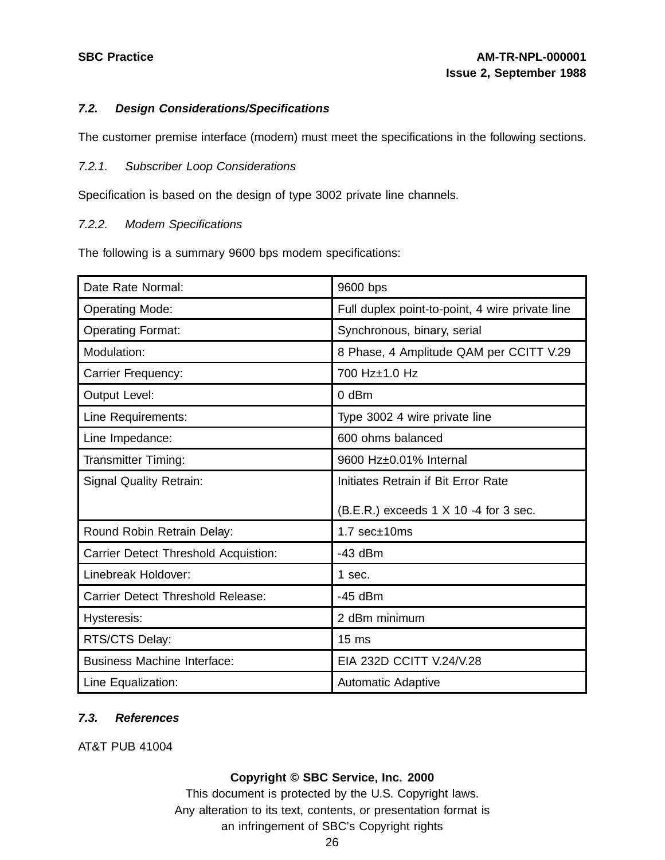### **7.2. Design Considerations/Specifications**

The customer premise interface (modem) must meet the specifications in the following sections.

### 7.2.1. Subscriber Loop Considerations

Specification is based on the design of type 3002 private line channels.

## 7.2.2. Modem Specifications

The following is a summary 9600 bps modem specifications:

| Date Rate Normal:                           | 9600 bps                                        |
|---------------------------------------------|-------------------------------------------------|
| <b>Operating Mode:</b>                      | Full duplex point-to-point, 4 wire private line |
| <b>Operating Format:</b>                    | Synchronous, binary, serial                     |
| Modulation:                                 | 8 Phase, 4 Amplitude QAM per CCITT V.29         |
| <b>Carrier Frequency:</b>                   | 700 Hz±1.0 Hz                                   |
| Output Level:                               | $0$ dBm                                         |
| Line Requirements:                          | Type 3002 4 wire private line                   |
| Line Impedance:                             | 600 ohms balanced                               |
| Transmitter Timing:                         | 9600 Hz±0.01% Internal                          |
| <b>Signal Quality Retrain:</b>              | Initiates Retrain if Bit Error Rate             |
|                                             | $(B.E.R.)$ exceeds $1 \times 10 - 4$ for 3 sec. |
| Round Robin Retrain Delay:                  | $1.7$ sec $±10$ ms                              |
| <b>Carrier Detect Threshold Acquistion:</b> | $-43$ dBm                                       |
| Linebreak Holdover:                         | 1 sec.                                          |
| <b>Carrier Detect Threshold Release:</b>    | $-45$ dBm                                       |
| Hysteresis:                                 | 2 dBm minimum                                   |
| RTS/CTS Delay:                              | 15 <sub>ms</sub>                                |
| <b>Business Machine Interface:</b>          | EIA 232D CCITT V.24/V.28                        |
| Line Equalization:                          | <b>Automatic Adaptive</b>                       |

## **7.3. References**

AT&T PUB 41004

## **Copyright © SBC Service, Inc. 2000**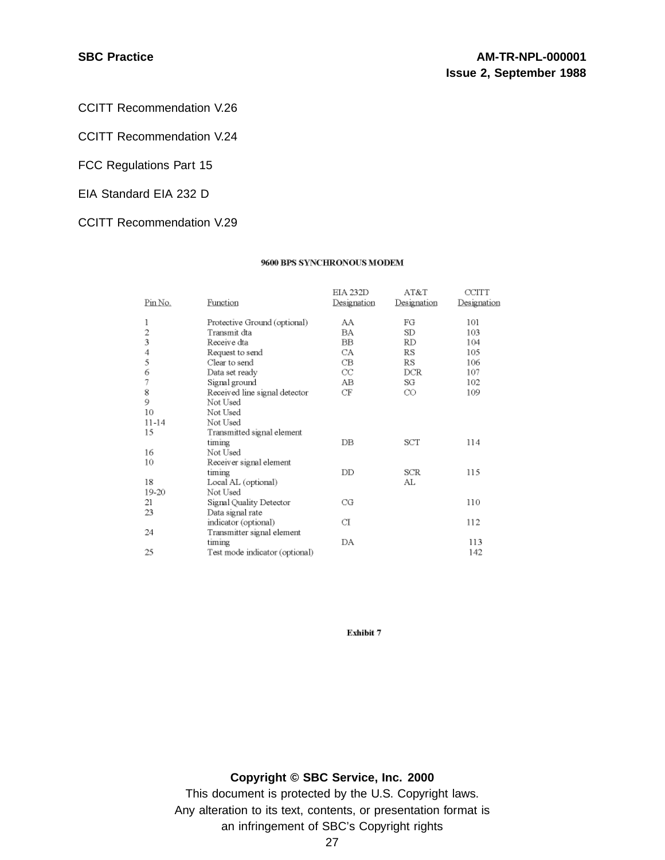CCITT Recommendation V.26

CCITT Recommendation V.24

FCC Regulations Part 15

EIA Standard EIA 232 D

CCITT Recommendation V.29

#### 9600 BPS SYNCHRONOUS MODEM

| Pin No.                 | Function                       | EIA 232D<br>Designation | AT&T<br>Designation | CCITT<br>Designation |
|-------------------------|--------------------------------|-------------------------|---------------------|----------------------|
| 1                       | Protective Ground (optional)   | AA                      | FG                  | 101                  |
| $\overline{\mathbf{c}}$ | Transmit dta                   | BA                      | SD                  | 103                  |
| 3                       | Receive dta                    | ΒB                      | RD                  | 104                  |
| 4                       | Request to send                | CA                      | $_{RS}$             | 105                  |
| 5                       | Clear to send                  | CB                      | RS                  | 106                  |
| 6                       | Data set ready                 | $_{\rm CC}$             | $_{\rm DCR}$        | 107                  |
| 7                       | Signal ground                  | АB                      | SG                  | 102                  |
| 8                       | Received line signal detector  | CF                      | CO                  | 109                  |
| 9                       | Not Used                       |                         |                     |                      |
| 10                      | Not Used                       |                         |                     |                      |
| $11 - 14$               | Not Used                       |                         |                     |                      |
| 15                      | Transmitted signal element     |                         |                     |                      |
|                         | timing                         | DB                      | SCT                 | 114                  |
| 16                      | Not Used                       |                         |                     |                      |
| 10                      | Receiver signal element        |                         |                     |                      |
|                         | timing                         | DD                      | SCR                 | 115                  |
| 18                      | Local AL (optional)            |                         | AL                  |                      |
| 19-20                   | Not Used                       |                         |                     |                      |
| 21                      | Signal Quality Detector        | CG                      |                     | 110                  |
| 23                      | Data signal rate               |                         |                     |                      |
|                         | indicator (optional)           | CI                      |                     | 112                  |
| 24                      | Transmitter signal element     |                         |                     |                      |
|                         | timing                         | DA                      |                     | 113                  |
| 25                      | Test mode indicator (optional) |                         |                     | 142                  |

Exhibit 7

## **Copyright © SBC Service, Inc. 2000**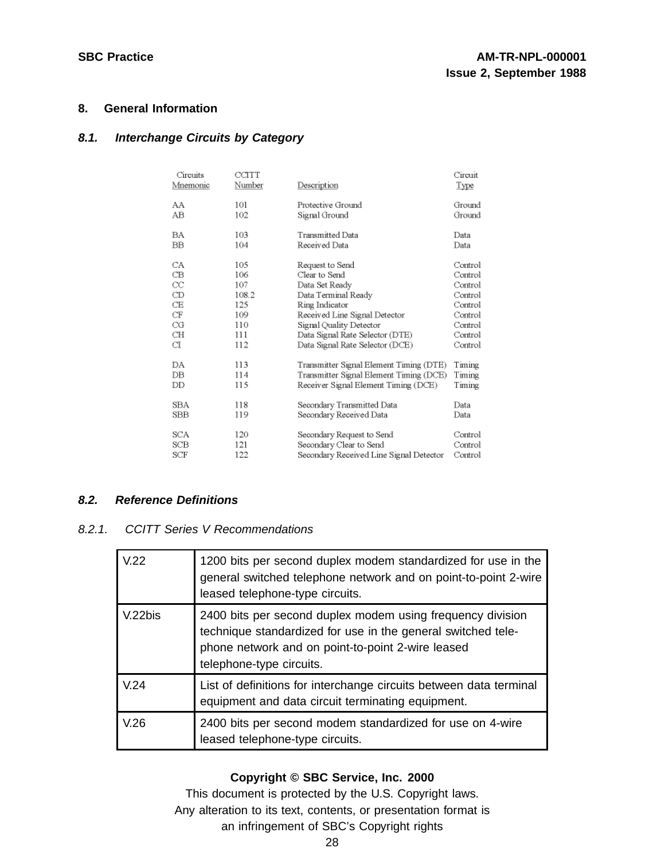#### **8. General Information**

## **8.1. Interchange Circuits by Category**

| Circuits<br>Mnemonic | CCITT<br>Number | Description                             | Circuit<br>Type |
|----------------------|-----------------|-----------------------------------------|-----------------|
| AA                   | 101             | Protective Ground                       | Ground          |
| AВ                   | 102             | Signal Ground                           | Ground          |
| ВA                   | 103             | Transmitted Data                        | Data            |
| BB                   | 104             | Received Data                           | Data            |
| СA                   | 105             | Request to Send                         | Control         |
| CВ                   | 106             | Clear to Send                           | Control         |
| $_{\rm CC}$          | 107             | Data Set Ready                          | Control         |
| CD                   | 108.2           | Data Terminal Ready                     | Control         |
| СE                   | 125             | Ring Indicator                          | Control         |
| CF                   | 109             | Received Line Signal Detector           | Control         |
| CG                   | 110             | Signal Quality Detector                 | Control         |
| CH                   | 111             | Data Signal Rate Selector (DTE)         | Control         |
| CI                   | 112             | Data Signal Rate Selector (DCE)         | Control         |
| DA                   | 113             | Transmitter Signal Element Timing (DTE) | Timing          |
| DB                   | 114             | Transmitter Signal Element Timing (DCE) | Timing          |
| DD                   | 115             | Receiver Signal Element Timing (DCE)    | Timing          |
| SBA                  | 118             | Secondary Transmitted Data              | Data            |
| SBB                  | 119             | Secondary Received Data                 | Data            |
| SCA                  | 120             | Secondary Request to Send               | Control         |
| SCB                  | 121             | Secondary Clear to Send                 | Control         |
| SCF                  | 122             | Secondary Received Line Signal Detector | Control         |

#### **8.2. Reference Definitions**

#### 8.2.1. CCITT Series V Recommendations

| V.22    | 1200 bits per second duplex modem standardized for use in the<br>general switched telephone network and on point-to-point 2-wire<br>leased telephone-type circuits.                                         |
|---------|-------------------------------------------------------------------------------------------------------------------------------------------------------------------------------------------------------------|
| V.22bis | 2400 bits per second duplex modem using frequency division<br>technique standardized for use in the general switched tele-<br>phone network and on point-to-point 2-wire leased<br>telephone-type circuits. |
| V.24    | List of definitions for interchange circuits between data terminal<br>equipment and data circuit terminating equipment.                                                                                     |
| V.26    | 2400 bits per second modem standardized for use on 4-wire<br>leased telephone-type circuits.                                                                                                                |

### **Copyright © SBC Service, Inc. 2000**